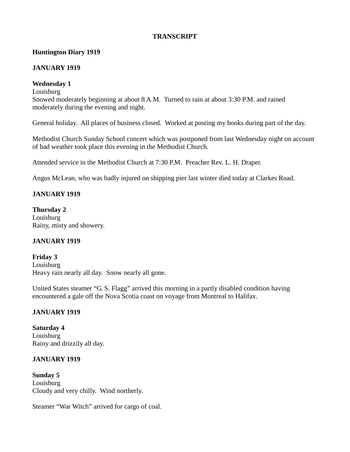### **TRANSCRIPT**

### **Huntington Diary 1919**

#### **JANUARY 1919**

### **Wednesday 1**

**Louisburg** 

Snowed moderately beginning at about 8 A.M. Turned to rain at about 3:30 P.M. and rained moderately during the evening and night.

General holiday. All places of business closed. Worked at posting my books during part of the day.

Methodist Church Sunday School concert which was postponed from last Wednesday night on account of bad weather took place this evening in the Methodist Church.

Attended service in the Methodist Church at 7:30 P.M. Preacher Rev. L. H. Draper.

Angus McLean, who was badly injured on shipping pier last winter died today at Clarkes Road.

### **JANUARY 1919**

**Thursday 2** Louisburg Rainy, misty and showery.

### **JANUARY 1919**

**Friday 3** Louisburg Heavy rain nearly all day. Snow nearly all gone.

United States steamer "G. S. Flagg" arrived this morning in a partly disabled condition having encountered a gale off the Nova Scotia coast on voyage from Montreal to Halifax.

### **JANUARY 1919**

**Saturday 4** Louisburg Rainy and drizzily all day.

### **JANUARY 1919**

**Sunday 5 Louisburg** Cloudy and very chilly. Wind northerly.

Steamer "War Witch" arrived for cargo of coal.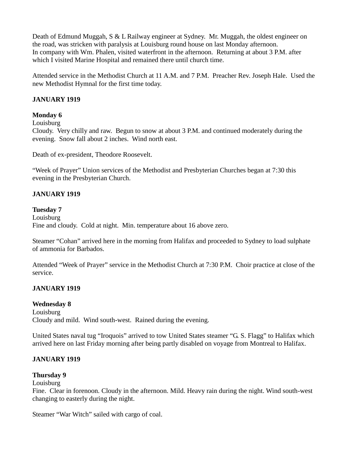Death of Edmund Muggah, S & L Railway engineer at Sydney. Mr. Muggah, the oldest engineer on the road, was stricken with paralysis at Louisburg round house on last Monday afternoon. In company with Wm. Phalen, visited waterfront in the afternoon. Returning at about 3 P.M. after which I visited Marine Hospital and remained there until church time.

Attended service in the Methodist Church at 11 A.M. and 7 P.M. Preacher Rev. Joseph Hale. Used the new Methodist Hymnal for the first time today.

### **JANUARY 1919**

### **Monday 6**

Louisburg

Cloudy. Very chilly and raw. Begun to snow at about 3 P.M. and continued moderately during the evening. Snow fall about 2 inches. Wind north east.

Death of ex-president, Theodore Roosevelt.

"Week of Prayer" Union services of the Methodist and Presbyterian Churches began at 7:30 this evening in the Presbyterian Church.

#### **JANUARY 1919**

#### **Tuesday 7**

Louisburg Fine and cloudy. Cold at night. Min. temperature about 16 above zero.

Steamer "Cohan" arrived here in the morning from Halifax and proceeded to Sydney to load sulphate of ammonia for Barbados.

Attended "Week of Prayer" service in the Methodist Church at 7:30 P.M. Choir practice at close of the service.

#### **JANUARY 1919**

#### **Wednesday 8**

Louisburg Cloudy and mild. Wind south-west. Rained during the evening.

United States naval tug "Iroquois" arrived to tow United States steamer "G. S. Flagg" to Halifax which arrived here on last Friday morning after being partly disabled on voyage from Montreal to Halifax.

#### **JANUARY 1919**

#### **Thursday 9**

#### **Louisburg**

Fine. Clear in forenoon. Cloudy in the afternoon. Mild. Heavy rain during the night. Wind south-west changing to easterly during the night.

Steamer "War Witch" sailed with cargo of coal.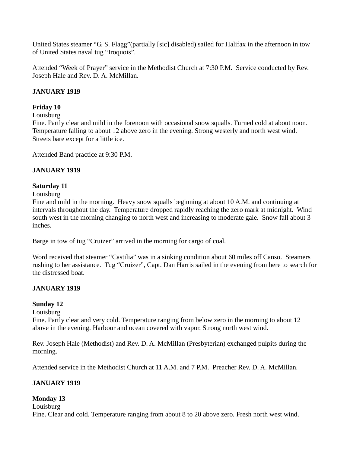United States steamer "G. S. Flagg"(partially [sic] disabled) sailed for Halifax in the afternoon in tow of United States naval tug "Iroquois".

Attended "Week of Prayer" service in the Methodist Church at 7:30 P.M. Service conducted by Rev. Joseph Hale and Rev. D. A. McMillan.

### **JANUARY 1919**

### **Friday 10**

Louisburg

Fine. Partly clear and mild in the forenoon with occasional snow squalls. Turned cold at about noon. Temperature falling to about 12 above zero in the evening. Strong westerly and north west wind. Streets bare except for a little ice.

Attended Band practice at 9:30 P.M.

### **JANUARY 1919**

### **Saturday 11**

Louisburg

Fine and mild in the morning. Heavy snow squalls beginning at about 10 A.M. and continuing at intervals throughout the day. Temperature dropped rapidly reaching the zero mark at midnight. Wind south west in the morning changing to north west and increasing to moderate gale. Snow fall about 3 inches.

Barge in tow of tug "Cruizer" arrived in the morning for cargo of coal.

Word received that steamer "Castilia" was in a sinking condition about 60 miles off Canso. Steamers rushing to her assistance. Tug "Cruizer", Capt. Dan Harris sailed in the evening from here to search for the distressed boat.

# **JANUARY 1919**

### **Sunday 12**

Louisburg

Fine. Partly clear and very cold. Temperature ranging from below zero in the morning to about 12 above in the evening. Harbour and ocean covered with vapor. Strong north west wind.

Rev. Joseph Hale (Methodist) and Rev. D. A. McMillan (Presbyterian) exchanged pulpits during the morning.

Attended service in the Methodist Church at 11 A.M. and 7 P.M. Preacher Rev. D. A. McMillan.

# **JANUARY 1919**

# **Monday 13**

Louisburg

Fine. Clear and cold. Temperature ranging from about 8 to 20 above zero. Fresh north west wind.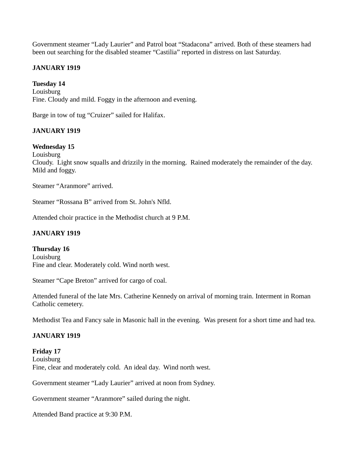Government steamer "Lady Laurier" and Patrol boat "Stadacona" arrived. Both of these steamers had been out searching for the disabled steamer "Castilia" reported in distress on last Saturday.

### **JANUARY 1919**

# **Tuesday 14**

Louisburg Fine. Cloudy and mild. Foggy in the afternoon and evening.

Barge in tow of tug "Cruizer" sailed for Halifax.

# **JANUARY 1919**

# **Wednesday 15**

Louisburg

Cloudy. Light snow squalls and drizzily in the morning. Rained moderately the remainder of the day. Mild and foggy.

Steamer "Aranmore" arrived.

Steamer "Rossana B" arrived from St. John's Nfld.

Attended choir practice in the Methodist church at 9 P.M.

### **JANUARY 1919**

**Thursday 16** Louisburg Fine and clear. Moderately cold. Wind north west.

Steamer "Cape Breton" arrived for cargo of coal.

Attended funeral of the late Mrs. Catherine Kennedy on arrival of morning train. Interment in Roman Catholic cemetery.

Methodist Tea and Fancy sale in Masonic hall in the evening. Was present for a short time and had tea.

### **JANUARY 1919**

**Friday 17** Louisburg Fine, clear and moderately cold. An ideal day. Wind north west.

Government steamer "Lady Laurier" arrived at noon from Sydney.

Government steamer "Aranmore" sailed during the night.

Attended Band practice at 9:30 P.M.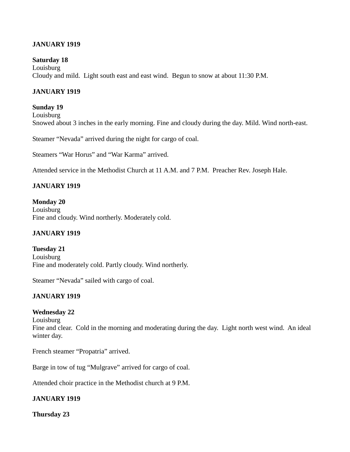### **JANUARY 1919**

#### **Saturday 18**

**Louisburg** Cloudy and mild. Light south east and east wind. Begun to snow at about 11:30 P.M.

### **JANUARY 1919**

**Sunday 19** Louisburg Snowed about 3 inches in the early morning. Fine and cloudy during the day. Mild. Wind north-east.

Steamer "Nevada" arrived during the night for cargo of coal.

Steamers "War Horus" and "War Karma" arrived.

Attended service in the Methodist Church at 11 A.M. and 7 P.M. Preacher Rev. Joseph Hale.

### **JANUARY 1919**

**Monday 20** Louisburg Fine and cloudy. Wind northerly. Moderately cold.

#### **JANUARY 1919**

**Tuesday 21** Louisburg Fine and moderately cold. Partly cloudy. Wind northerly.

Steamer "Nevada" sailed with cargo of coal.

### **JANUARY 1919**

### **Wednesday 22**

**Louisburg** 

Fine and clear. Cold in the morning and moderating during the day. Light north west wind. An ideal winter day.

French steamer "Propatria" arrived.

Barge in tow of tug "Mulgrave" arrived for cargo of coal.

Attended choir practice in the Methodist church at 9 P.M.

### **JANUARY 1919**

**Thursday 23**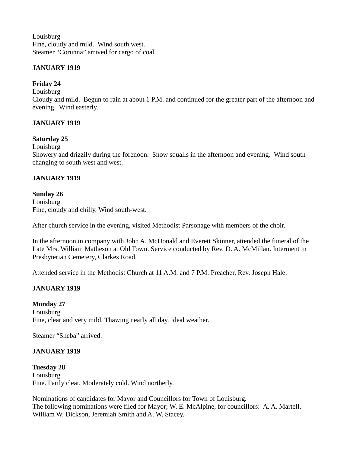**Louisburg** Fine, cloudy and mild. Wind south west. Steamer "Corunna" arrived for cargo of coal.

### **JANUARY 1919**

### **Friday 24**

Louisburg

Cloudy and mild. Begun to rain at about 1 P.M. and continued for the greater part of the afternoon and evening. Wind easterly.

### **JANUARY 1919**

### **Saturday 25**

Louisburg

Showery and drizzily during the forenoon. Snow squalls in the afternoon and evening. Wind south changing to south west and west.

### **JANUARY 1919**

#### **Sunday 26**

Louisburg Fine, cloudy and chilly. Wind south-west.

After church service in the evening, visited Methodist Parsonage with members of the choir.

In the afternoon in company with John A. McDonald and Everett Skinner, attended the funeral of the Late Mrs. William Matheson at Old Town. Service conducted by Rev. D. A. McMillan. Interment in Presbyterian Cemetery, Clarkes Road.

Attended service in the Methodist Church at 11 A.M. and 7 P.M. Preacher, Rev. Joseph Hale.

### **JANUARY 1919**

#### **Monday 27**

Louisburg Fine, clear and very mild. Thawing nearly all day. Ideal weather.

Steamer "Sheba" arrived.

#### **JANUARY 1919**

### **Tuesday 28**

Louisburg Fine. Partly clear. Moderately cold. Wind northerly.

Nominations of candidates for Mayor and Councillors for Town of Louisburg. The following nominations were filed for Mayor; W. E. McAlpine, for councillors: A. A. Martell, William W. Dickson, Jeremiah Smith and A. W. Stacey.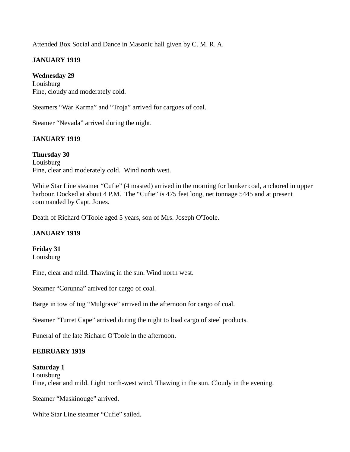Attended Box Social and Dance in Masonic hall given by C. M. R. A.

### **JANUARY 1919**

**Wednesday 29** Louisburg Fine, cloudy and moderately cold.

Steamers "War Karma" and "Troja" arrived for cargoes of coal.

Steamer "Nevada" arrived during the night.

# **JANUARY 1919**

**Thursday 30** Louisburg Fine, clear and moderately cold. Wind north west.

White Star Line steamer "Cufie" (4 masted) arrived in the morning for bunker coal, anchored in upper harbour. Docked at about 4 P.M. The "Cufie" is 475 feet long, net tonnage 5445 and at present commanded by Capt. Jones.

Death of Richard O'Toole aged 5 years, son of Mrs. Joseph O'Toole.

### **JANUARY 1919**

### **Friday 31**

Louisburg

Fine, clear and mild. Thawing in the sun. Wind north west.

Steamer "Corunna" arrived for cargo of coal.

Barge in tow of tug "Mulgrave" arrived in the afternoon for cargo of coal.

Steamer "Turret Cape" arrived during the night to load cargo of steel products.

Funeral of the late Richard O'Toole in the afternoon.

### **FEBRUARY 1919**

### **Saturday 1**

Louisburg Fine, clear and mild. Light north-west wind. Thawing in the sun. Cloudy in the evening.

Steamer "Maskinouge" arrived.

White Star Line steamer "Cufie" sailed.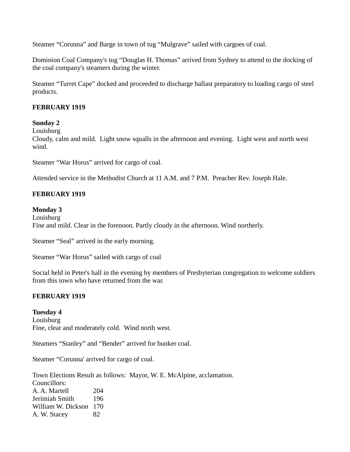Steamer "Corunna" and Barge in town of tug "Mulgrave" sailed with cargoes of coal.

Dominion Coal Company's tug "Douglas H. Thomas" arrived from Sydney to attend to the docking of the coal company's steamers during the winter.

Steamer "Turret Cape" docked and proceeded to discharge ballast preparatory to loading cargo of steel products.

### **FEBRUARY 1919**

### **Sunday 2**

Louisburg

Cloudy, calm and mild. Light snow squalls in the afternoon and evening. Light west and north west wind.

Steamer "War Horus" arrived for cargo of coal.

Attended service in the Methodist Church at 11 A.M. and 7 P.M. Preacher Rev. Joseph Hale.

### **FEBRUARY 1919**

#### **Monday 3**

Louisburg Fine and mild. Clear in the forenoon. Partly cloudy in the afternoon. Wind northerly.

Steamer "Seal" arrived in the early morning.

Steamer "War Horus" sailed with cargo of coal

Social held in Peter's hall in the evening by members of Presbyterian congregation to welcome soldiers from this town who have returned from the war.

### **FEBRUARY 1919**

#### **Tuesday 4**

Louisburg Fine, clear and moderately cold. Wind north west.

Steamers "Stanley" and "Bender" arrived for bunker coal.

Steamer "Corunna' arrived for cargo of coal.

Town Elections Result as follows: Mayor, W. E. McAlpine, acclamation. Councillors: A. A. Martell 204 Jerimiah Smith 196 William W. Dickson 170 A. W. Stacey 82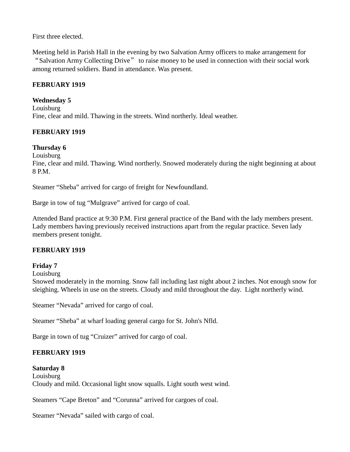### First three elected.

Meeting held in Parish Hall in the evening by two Salvation Army officers to make arrangement for "Salvation Army Collecting Drive" to raise money to be used in connection with their social work among returned soldiers. Band in attendance. Was present.

### **FEBRUARY 1919**

### **Wednesday 5**

Louisburg Fine, clear and mild. Thawing in the streets. Wind northerly. Ideal weather.

# **FEBRUARY 1919**

# **Thursday 6**

Louisburg

Fine, clear and mild. Thawing. Wind northerly. Snowed moderately during the night beginning at about 8 P.M.

Steamer "Sheba" arrived for cargo of freight for Newfoundland.

Barge in tow of tug "Mulgrave" arrived for cargo of coal.

Attended Band practice at 9:30 P.M. First general practice of the Band with the lady members present. Lady members having previously received instructions apart from the regular practice. Seven lady members present tonight.

### **FEBRUARY 1919**

### **Friday 7**

Louisburg

Snowed moderately in the morning. Snow fall including last night about 2 inches. Not enough snow for sleighing. Wheels in use on the streets. Cloudy and mild throughout the day. Light northerly wind.

Steamer "Nevada" arrived for cargo of coal.

Steamer "Sheba" at wharf loading general cargo for St. John's Nfld.

Barge in town of tug "Cruizer" arrived for cargo of coal.

# **FEBRUARY 1919**

### **Saturday 8**

**Louisburg** Cloudy and mild. Occasional light snow squalls. Light south west wind.

Steamers "Cape Breton" and "Corunna" arrived for cargoes of coal.

Steamer "Nevada" sailed with cargo of coal.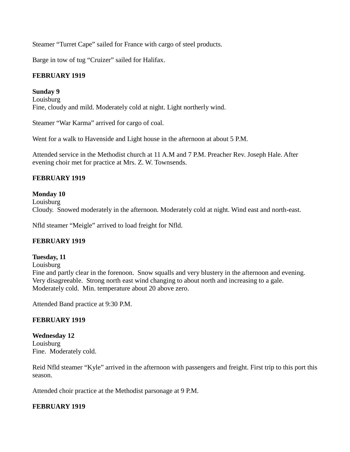Steamer "Turret Cape" sailed for France with cargo of steel products.

Barge in tow of tug "Cruizer" sailed for Halifax.

# **FEBRUARY 1919**

# **Sunday 9**

Louisburg Fine, cloudy and mild. Moderately cold at night. Light northerly wind.

Steamer "War Karma" arrived for cargo of coal.

Went for a walk to Havenside and Light house in the afternoon at about 5 P.M.

Attended service in the Methodist church at 11 A.M and 7 P.M. Preacher Rev. Joseph Hale. After evening choir met for practice at Mrs. Z. W. Townsends.

# **FEBRUARY 1919**

# **Monday 10**

Louisburg Cloudy. Snowed moderately in the afternoon. Moderately cold at night. Wind east and north-east.

Nfld steamer "Meigle" arrived to load freight for Nfld.

# **FEBRUARY 1919**

# **Tuesday, 11**

**Louisburg** 

Fine and partly clear in the forenoon. Snow squalls and very blustery in the afternoon and evening. Very disagreeable. Strong north east wind changing to about north and increasing to a gale. Moderately cold. Min. temperature about 20 above zero.

Attended Band practice at 9:30 P.M.

# **FEBRUARY 1919**

**Wednesday 12** Louisburg Fine. Moderately cold.

Reid Nfld steamer "Kyle" arrived in the afternoon with passengers and freight. First trip to this port this season.

Attended choir practice at the Methodist parsonage at 9 P.M.

# **FEBRUARY 1919**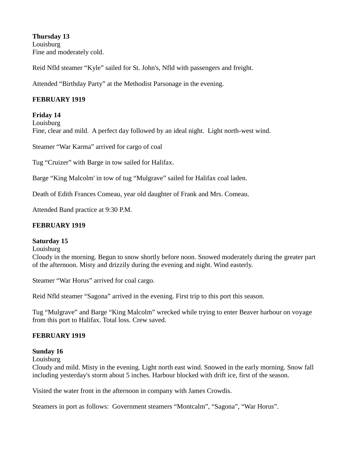**Thursday 13** Louisburg Fine and moderately cold.

Reid Nfld steamer "Kyle" sailed for St. John's, Nfld with passengers and freight.

Attended "Birthday Party" at the Methodist Parsonage in the evening.

# **FEBRUARY 1919**

### **Friday 14**

Louisburg Fine, clear and mild. A perfect day followed by an ideal night. Light north-west wind.

Steamer "War Karma" arrived for cargo of coal

Tug "Cruizer" with Barge in tow sailed for Halifax.

Barge "King Malcolm' in tow of tug "Mulgrave" sailed for Halifax coal laden.

Death of Edith Frances Comeau, year old daughter of Frank and Mrs. Comeau.

Attended Band practice at 9:30 P.M.

### **FEBRUARY 1919**

### **Saturday 15**

**Louisburg** 

Cloudy in the morning. Begun to snow shortly before noon. Snowed moderately during the greater part of the afternoon. Misty and drizzily during the evening and night. Wind easterly.

Steamer "War Horus" arrived for coal cargo.

Reid Nfld steamer "Sagona" arrived in the evening. First trip to this port this season.

Tug "Mulgrave" and Barge "King Malcolm" wrecked while trying to enter Beaver harbour on voyage from this port to Halifax. Total loss. Crew saved.

### **FEBRUARY 1919**

### **Sunday 16**

**Louisburg** 

Cloudy and mild. Misty in the evening. Light north east wind. Snowed in the early morning. Snow fall including yesterday's storm about 5 inches. Harbour blocked with drift ice, first of the season.

Visited the water front in the afternoon in company with James Crowdis.

Steamers in port as follows: Government steamers "Montcalm", "Sagona", "War Horus".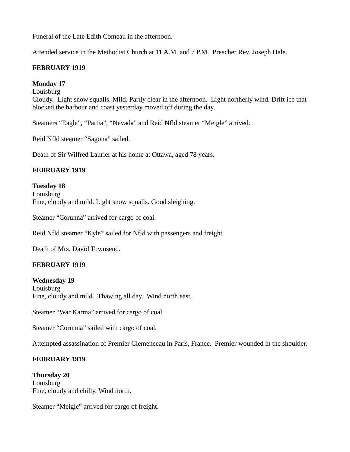Funeral of the Late Edith Comeau in the afternoon.

Attended service in the Methodist Church at 11 A.M. and 7 P.M. Preacher Rev. Joseph Hale.

### **FEBRUARY 1919**

### **Monday 17**

Louisburg

Cloudy. Light snow squalls. Mild. Partly clear in the afternoon. Light northerly wind. Drift ice that blocked the harbour and coast yesterday moved off during the day.

Steamers "Eagle", "Partia", "Nevada" and Reid Nfld steamer "Meigle" arrived.

Reid Nfld steamer "Sagona" sailed.

Death of Sir Wilfred Laurier at his home at Ottawa, aged 78 years.

# **FEBRUARY 1919**

**Tuesday 18** Louisburg Fine, cloudy and mild. Light snow squalls. Good sleighing.

Steamer "Corunna" arrived for cargo of coal.

Reid Nfld steamer "Kyle" sailed for Nfld with passengers and freight.

Death of Mrs. David Townsend.

# **FEBRUARY 1919**

**Wednesday 19 Louisburg** 

Fine, cloudy and mild. Thawing all day. Wind north east.

Steamer "War Karma" arrived for cargo of coal.

Steamer "Corunna" sailed with cargo of coal.

Attempted assassination of Premier Clemenceau in Paris, France. Premier wounded in the shoulder.

### **FEBRUARY 1919**

**Thursday 20 Louisburg** Fine, cloudy and chilly. Wind north.

Steamer "Meigle" arrived for cargo of freight.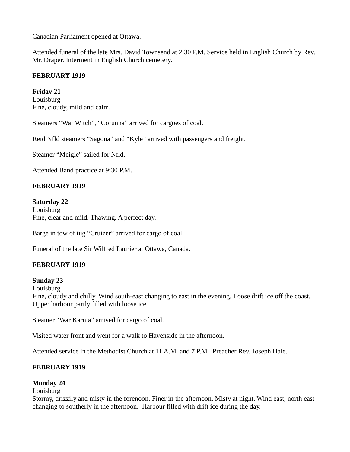Canadian Parliament opened at Ottawa.

Attended funeral of the late Mrs. David Townsend at 2:30 P.M. Service held in English Church by Rev. Mr. Draper. Interment in English Church cemetery.

# **FEBRUARY 1919**

**Friday 21** Louisburg Fine, cloudy, mild and calm.

Steamers "War Witch", "Corunna" arrived for cargoes of coal.

Reid Nfld steamers "Sagona" and "Kyle" arrived with passengers and freight.

Steamer "Meigle" sailed for Nfld.

Attended Band practice at 9:30 P.M.

### **FEBRUARY 1919**

### **Saturday 22**

**Louisburg** Fine, clear and mild. Thawing. A perfect day.

Barge in tow of tug "Cruizer" arrived for cargo of coal.

Funeral of the late Sir Wilfred Laurier at Ottawa, Canada.

### **FEBRUARY 1919**

#### **Sunday 23**

Louisburg

Fine, cloudy and chilly. Wind south-east changing to east in the evening. Loose drift ice off the coast. Upper harbour partly filled with loose ice.

Steamer "War Karma" arrived for cargo of coal.

Visited water front and went for a walk to Havenside in the afternoon.

Attended service in the Methodist Church at 11 A.M. and 7 P.M. Preacher Rev. Joseph Hale.

### **FEBRUARY 1919**

### **Monday 24**

Louisburg

Stormy, drizzily and misty in the forenoon. Finer in the afternoon. Misty at night. Wind east, north east changing to southerly in the afternoon. Harbour filled with drift ice during the day.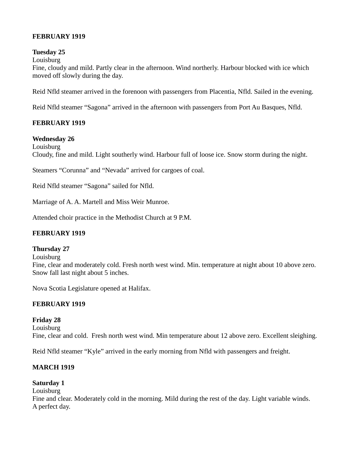# **FEBRUARY 1919**

### **Tuesday 25**

Louisburg

Fine, cloudy and mild. Partly clear in the afternoon. Wind northerly. Harbour blocked with ice which moved off slowly during the day.

Reid Nfld steamer arrived in the forenoon with passengers from Placentia, Nfld. Sailed in the evening.

Reid Nfld steamer "Sagona" arrived in the afternoon with passengers from Port Au Basques, Nfld.

# **FEBRUARY 1919**

# **Wednesday 26**

**Louisburg** Cloudy, fine and mild. Light southerly wind. Harbour full of loose ice. Snow storm during the night.

Steamers "Corunna" and "Nevada" arrived for cargoes of coal.

Reid Nfld steamer "Sagona" sailed for Nfld.

Marriage of A. A. Martell and Miss Weir Munroe.

Attended choir practice in the Methodist Church at 9 P.M.

### **FEBRUARY 1919**

### **Thursday 27**

Louisburg

Fine, clear and moderately cold. Fresh north west wind. Min. temperature at night about 10 above zero. Snow fall last night about 5 inches.

Nova Scotia Legislature opened at Halifax.

# **FEBRUARY 1919**

**Friday 28** Louisburg Fine, clear and cold. Fresh north west wind. Min temperature about 12 above zero. Excellent sleighing.

Reid Nfld steamer "Kyle" arrived in the early morning from Nfld with passengers and freight.

# **MARCH 1919**

# **Saturday 1**

Louisburg

Fine and clear. Moderately cold in the morning. Mild during the rest of the day. Light variable winds. A perfect day.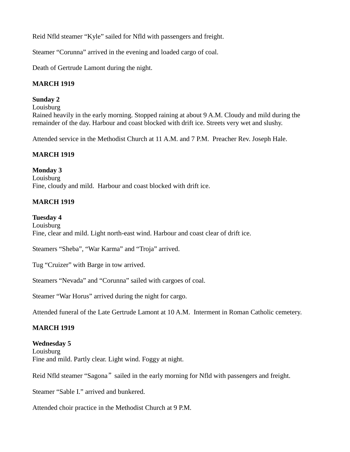Reid Nfld steamer "Kyle" sailed for Nfld with passengers and freight.

Steamer "Corunna" arrived in the evening and loaded cargo of coal.

Death of Gertrude Lamont during the night.

# **MARCH 1919**

### **Sunday 2**

**Louisburg** 

Rained heavily in the early morning. Stopped raining at about 9 A.M. Cloudy and mild during the remainder of the day. Harbour and coast blocked with drift ice. Streets very wet and slushy.

Attended service in the Methodist Church at 11 A.M. and 7 P.M. Preacher Rev. Joseph Hale.

# **MARCH 1919**

# **Monday 3**

Louisburg Fine, cloudy and mild. Harbour and coast blocked with drift ice.

# **MARCH 1919**

# **Tuesday 4**

**Louisburg** Fine, clear and mild. Light north-east wind. Harbour and coast clear of drift ice.

Steamers "Sheba", "War Karma" and "Troja" arrived.

Tug "Cruizer" with Barge in tow arrived.

Steamers "Nevada" and "Corunna" sailed with cargoes of coal.

Steamer "War Horus" arrived during the night for cargo.

Attended funeral of the Late Gertrude Lamont at 10 A.M. Interment in Roman Catholic cemetery.

# **MARCH 1919**

### **Wednesday 5**

Louisburg Fine and mild. Partly clear. Light wind. Foggy at night.

Reid Nfld steamer "Sagona" sailed in the early morning for Nfld with passengers and freight.

Steamer "Sable I." arrived and bunkered.

Attended choir practice in the Methodist Church at 9 P.M.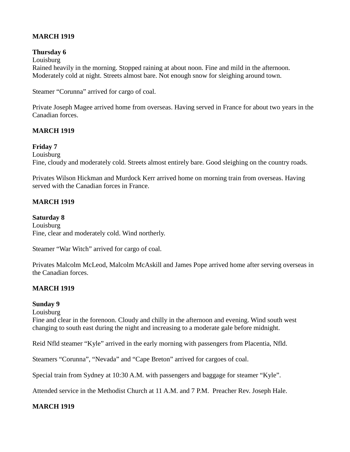# **MARCH 1919**

### **Thursday 6**

Louisburg Rained heavily in the morning. Stopped raining at about noon. Fine and mild in the afternoon. Moderately cold at night. Streets almost bare. Not enough snow for sleighing around town.

Steamer "Corunna" arrived for cargo of coal.

Private Joseph Magee arrived home from overseas. Having served in France for about two years in the Canadian forces.

# **MARCH 1919**

### **Friday 7**

Louisburg

Fine, cloudy and moderately cold. Streets almost entirely bare. Good sleighing on the country roads.

Privates Wilson Hickman and Murdock Kerr arrived home on morning train from overseas. Having served with the Canadian forces in France.

### **MARCH 1919**

**Saturday 8** Louisburg Fine, clear and moderately cold. Wind northerly.

Steamer "War Witch" arrived for cargo of coal.

Privates Malcolm McLeod, Malcolm McAskill and James Pope arrived home after serving overseas in the Canadian forces.

### **MARCH 1919**

### **Sunday 9**

Louisburg

Fine and clear in the forenoon. Cloudy and chilly in the afternoon and evening. Wind south west changing to south east during the night and increasing to a moderate gale before midnight.

Reid Nfld steamer "Kyle" arrived in the early morning with passengers from Placentia, Nfld.

Steamers "Corunna", "Nevada" and "Cape Breton" arrived for cargoes of coal.

Special train from Sydney at 10:30 A.M. with passengers and baggage for steamer "Kyle".

Attended service in the Methodist Church at 11 A.M. and 7 P.M. Preacher Rev. Joseph Hale.

### **MARCH 1919**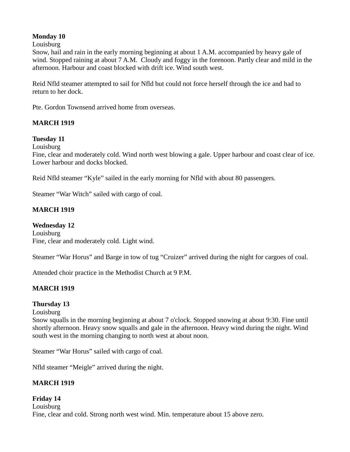# **Monday 10**

Louisburg

Snow, hail and rain in the early morning beginning at about 1 A.M. accompanied by heavy gale of wind. Stopped raining at about 7 A.M. Cloudy and foggy in the forenoon. Partly clear and mild in the afternoon. Harbour and coast blocked with drift ice. Wind south west.

Reid Nfld steamer attempted to sail for Nfld but could not force herself through the ice and had to return to her dock.

Pte. Gordon Townsend arrived home from overseas.

# **MARCH 1919**

### **Tuesday 11**

**Louisburg** 

Fine, clear and moderately cold. Wind north west blowing a gale. Upper harbour and coast clear of ice. Lower harbour and docks blocked.

Reid Nfld steamer "Kyle" sailed in the early morning for Nfld with about 80 passengers.

Steamer "War Witch" sailed with cargo of coal.

### **MARCH 1919**

**Wednesday 12** Louisburg Fine, clear and moderately cold. Light wind.

Steamer "War Horus" and Barge in tow of tug "Cruizer" arrived during the night for cargoes of coal.

Attended choir practice in the Methodist Church at 9 P.M.

# **MARCH 1919**

### **Thursday 13**

Louisburg

Snow squalls in the morning beginning at about 7 o'clock. Stopped snowing at about 9:30. Fine until shortly afternoon. Heavy snow squalls and gale in the afternoon. Heavy wind during the night. Wind south west in the morning changing to north west at about noon.

Steamer "War Horus" sailed with cargo of coal.

Nfld steamer "Meigle" arrived during the night.

# **MARCH 1919**

### **Friday 14** Louisburg Fine, clear and cold. Strong north west wind. Min. temperature about 15 above zero.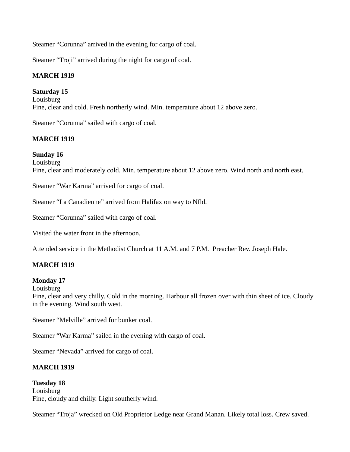Steamer "Corunna" arrived in the evening for cargo of coal.

Steamer "Troji" arrived during the night for cargo of coal.

# **MARCH 1919**

# **Saturday 15**

Louisburg Fine, clear and cold. Fresh northerly wind. Min. temperature about 12 above zero.

Steamer "Corunna" sailed with cargo of coal.

# **MARCH 1919**

# **Sunday 16**

Louisburg Fine, clear and moderately cold. Min. temperature about 12 above zero. Wind north and north east.

Steamer "War Karma" arrived for cargo of coal.

Steamer "La Canadienne" arrived from Halifax on way to Nfld.

Steamer "Corunna" sailed with cargo of coal.

Visited the water front in the afternoon.

Attended service in the Methodist Church at 11 A.M. and 7 P.M. Preacher Rev. Joseph Hale.

### **MARCH 1919**

### **Monday 17**

Louisburg

Fine, clear and very chilly. Cold in the morning. Harbour all frozen over with thin sheet of ice. Cloudy in the evening. Wind south west.

Steamer "Melville" arrived for bunker coal.

Steamer "War Karma" sailed in the evening with cargo of coal.

Steamer "Nevada" arrived for cargo of coal.

### **MARCH 1919**

**Tuesday 18** Louisburg Fine, cloudy and chilly. Light southerly wind.

Steamer "Troja" wrecked on Old Proprietor Ledge near Grand Manan. Likely total loss. Crew saved.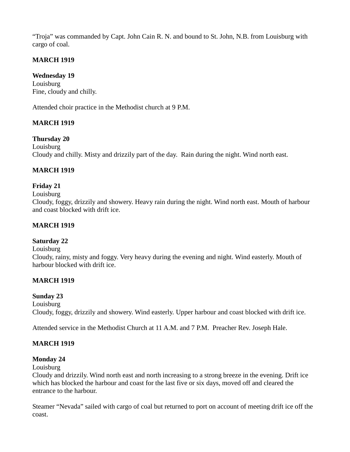"Troja" was commanded by Capt. John Cain R. N. and bound to St. John, N.B. from Louisburg with cargo of coal.

# **MARCH 1919**

# **Wednesday 19**

Louisburg Fine, cloudy and chilly.

Attended choir practice in the Methodist church at 9 P.M.

# **MARCH 1919**

# **Thursday 20**

**Louisburg** Cloudy and chilly. Misty and drizzily part of the day. Rain during the night. Wind north east.

# **MARCH 1919**

# **Friday 21**

#### Louisburg

Cloudy, foggy, drizzily and showery. Heavy rain during the night. Wind north east. Mouth of harbour and coast blocked with drift ice.

### **MARCH 1919**

### **Saturday 22**

#### **Louisburg**

Cloudy, rainy, misty and foggy. Very heavy during the evening and night. Wind easterly. Mouth of harbour blocked with drift ice.

### **MARCH 1919**

### **Sunday 23**

**Louisburg** Cloudy, foggy, drizzily and showery. Wind easterly. Upper harbour and coast blocked with drift ice.

Attended service in the Methodist Church at 11 A.M. and 7 P.M. Preacher Rev. Joseph Hale.

### **MARCH 1919**

# **Monday 24**

Louisburg

Cloudy and drizzily. Wind north east and north increasing to a strong breeze in the evening. Drift ice which has blocked the harbour and coast for the last five or six days, moved off and cleared the entrance to the harbour.

Steamer "Nevada" sailed with cargo of coal but returned to port on account of meeting drift ice off the coast.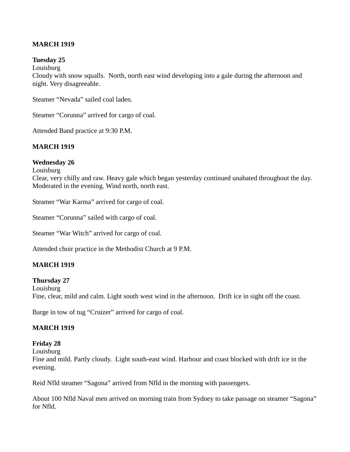### **MARCH 1919**

### **Tuesday 25**

**Louisburg** 

Cloudy with snow squalls. North, north east wind developing into a gale during the afternoon and night. Very disagreeable.

Steamer "Nevada" sailed coal laden.

Steamer "Corunna" arrived for cargo of coal.

Attended Band practice at 9:30 P.M.

### **MARCH 1919**

#### **Wednesday 26**

**Louisburg** 

Clear, very chilly and raw. Heavy gale which began yesterday continued unabated throughout the day. Moderated in the evening. Wind north, north east.

Steamer "War Karma" arrived for cargo of coal.

Steamer "Corunna" sailed with cargo of coal.

Steamer "War Witch" arrived for cargo of coal.

Attended choir practice in the Methodist Church at 9 P.M.

### **MARCH 1919**

#### **Thursday 27**

**Louisburg** Fine, clear, mild and calm. Light south west wind in the afternoon. Drift ice in sight off the coast.

Barge in tow of tug "Cruizer" arrived for cargo of coal.

### **MARCH 1919**

#### **Friday 28**

Louisburg

Fine and mild. Partly cloudy. Light south-east wind. Harbour and coast blocked with drift ice in the evening.

Reid Nfld steamer "Sagona" arrived from Nfld in the morning with passengers.

About 100 Nfld Naval men arrived on morning train from Sydney to take passage on steamer "Sagona" for Nfld.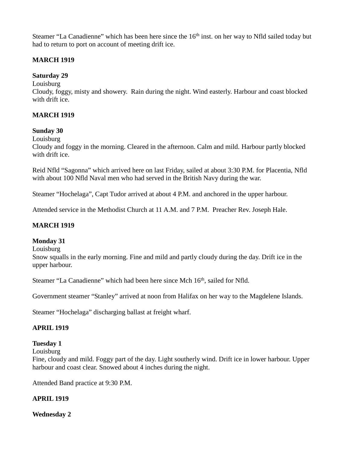Steamer "La Canadienne" which has been here since the 16<sup>th</sup> inst. on her way to Nfld sailed today but had to return to port on account of meeting drift ice.

### **MARCH 1919**

# **Saturday 29**

Louisburg

Cloudy, foggy, misty and showery. Rain during the night. Wind easterly. Harbour and coast blocked with drift ice.

# **MARCH 1919**

### **Sunday 30**

Louisburg

Cloudy and foggy in the morning. Cleared in the afternoon. Calm and mild. Harbour partly blocked with drift ice.

Reid Nfld "Sagonna" which arrived here on last Friday, sailed at about 3:30 P.M. for Placentia, Nfld with about 100 Nfld Naval men who had served in the British Navy during the war.

Steamer "Hochelaga", Capt Tudor arrived at about 4 P.M. and anchored in the upper harbour.

Attended service in the Methodist Church at 11 A.M. and 7 P.M. Preacher Rev. Joseph Hale.

### **MARCH 1919**

### **Monday 31**

**Louisburg** 

Snow squalls in the early morning. Fine and mild and partly cloudy during the day. Drift ice in the upper harbour.

Steamer "La Canadienne" which had been here since Mch 16<sup>th</sup>, sailed for Nfld.

Government steamer "Stanley" arrived at noon from Halifax on her way to the Magdelene Islands.

Steamer "Hochelaga" discharging ballast at freight wharf.

### **APRIL 1919**

### **Tuesday 1**

Louisburg

Fine, cloudy and mild. Foggy part of the day. Light southerly wind. Drift ice in lower harbour. Upper harbour and coast clear. Snowed about 4 inches during the night.

Attended Band practice at 9:30 P.M.

### **APRIL 1919**

**Wednesday 2**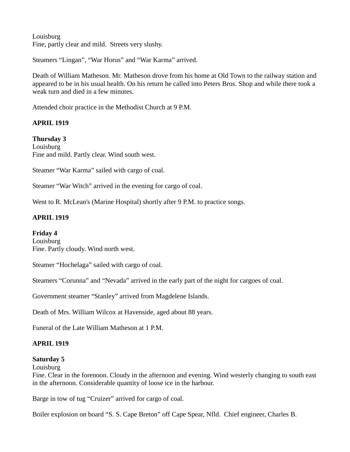Louisburg Fine, partly clear and mild. Streets very slushy.

Steamers "Lingan", "War Horus" and "War Karma" arrived.

Death of William Matheson. Mr. Matheson drove from his home at Old Town to the railway station and appeared to be in his usual health. On his return he called into Peters Bros. Shop and while there took a weak turn and died in a few minutes.

Attended choir practice in the Methodist Church at 9 P.M.

# **APRIL 1919**

**Thursday 3 Louisburg** Fine and mild. Partly clear. Wind south west.

Steamer "War Karma" sailed with cargo of coal.

Steamer "War Witch" arrived in the evening for cargo of coal.

Went to R. McLean's (Marine Hospital) shortly after 9 P.M. to practice songs.

# **APRIL 1919**

### **Friday 4**

Louisburg Fine. Partly cloudy. Wind north west.

Steamer "Hochelaga" sailed with cargo of coal.

Steamers "Corunna" and "Nevada" arrived in the early part of the night for cargoes of coal.

Government steamer "Stanley" arrived from Magdelene Islands.

Death of Mrs. William Wilcox at Havenside, aged about 88 years.

Funeral of the Late William Matheson at 1 P.M.

# **APRIL 1919**

# **Saturday 5**

**Louisburg** 

Fine. Clear in the forenoon. Cloudy in the afternoon and evening. Wind westerly changing to south east in the afternoon. Considerable quantity of loose ice in the harbour.

Barge in tow of tug "Cruizer" arrived for cargo of coal.

Boiler explosion on board "S. S. Cape Breton" off Cape Spear, Nfld. Chief engineer, Charles B.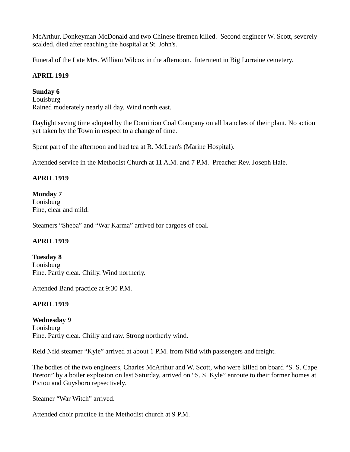McArthur, Donkeyman McDonald and two Chinese firemen killed. Second engineer W. Scott, severely scalded, died after reaching the hospital at St. John's.

Funeral of the Late Mrs. William Wilcox in the afternoon. Interment in Big Lorraine cemetery.

# **APRIL 1919**

### **Sunday 6**

Louisburg Rained moderately nearly all day. Wind north east.

Daylight saving time adopted by the Dominion Coal Company on all branches of their plant. No action yet taken by the Town in respect to a change of time.

Spent part of the afternoon and had tea at R. McLean's (Marine Hospital).

Attended service in the Methodist Church at 11 A.M. and 7 P.M. Preacher Rev. Joseph Hale.

### **APRIL 1919**

### **Monday 7**

Louisburg Fine, clear and mild.

Steamers "Sheba" and "War Karma" arrived for cargoes of coal.

### **APRIL 1919**

**Tuesday 8** Louisburg Fine. Partly clear. Chilly. Wind northerly.

Attended Band practice at 9:30 P.M.

### **APRIL 1919**

**Wednesday 9 Louisburg** Fine. Partly clear. Chilly and raw. Strong northerly wind.

Reid Nfld steamer "Kyle" arrived at about 1 P.M. from Nfld with passengers and freight.

The bodies of the two engineers, Charles McArthur and W. Scott, who were killed on board "S. S. Cape Breton" by a boiler explosion on last Saturday, arrived on "S. S. Kyle" enroute to their former homes at Pictou and Guysboro repsectively.

Steamer "War Witch" arrived.

Attended choir practice in the Methodist church at 9 P.M.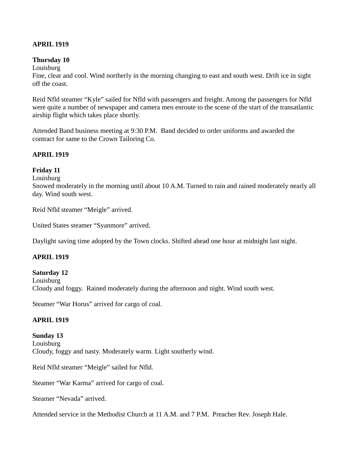### **APRIL 1919**

### **Thursday 10**

Louisburg

Fine, clear and cool. Wind northerly in the morning changing to east and south west. Drift ice in sight off the coast.

Reid Nfld steamer "Kyle" sailed for Nfld with passengers and freight. Among the passengers for Nfld were quite a number of newspaper and camera men enroute to the scene of the start of the transatlantic airship flight which takes place shortly.

Attended Band business meeting at 9:30 P.M. Band decided to order uniforms and awarded the contract for same to the Crown Tailoring Co.

### **APRIL 1919**

### **Friday 11**

Louisburg

Snowed moderately in the morning until about 10 A.M. Turned to rain and rained moderately nearly all day. Wind south west.

Reid Nfld steamer "Meigle" arrived.

United States steamer "Syanmore" arrived.

Daylight saving time adopted by the Town clocks. Shifted ahead one hour at midnight last night.

### **APRIL 1919**

### **Saturday 12**

Louisburg Cloudy and foggy. Rained moderately during the afternoon and night. Wind south west.

Steamer "War Horus" arrived for cargo of coal.

### **APRIL 1919**

**Sunday 13 Louisburg** Cloudy, foggy and nasty. Moderately warm. Light southerly wind.

Reid Nfld steamer "Meigle" sailed for Nfld.

Steamer "War Karma" arrived for cargo of coal.

Steamer "Nevada" arrived.

Attended service in the Methodist Church at 11 A.M. and 7 P.M. Preacher Rev. Joseph Hale.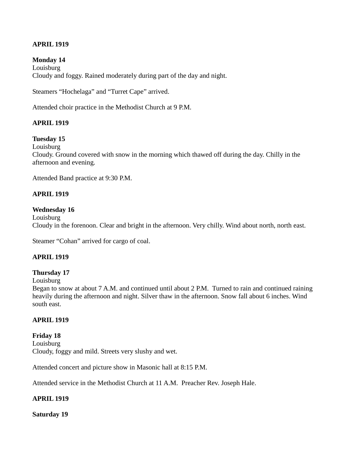# **APRIL 1919**

### **Monday 14**

**Louisburg** Cloudy and foggy. Rained moderately during part of the day and night.

Steamers "Hochelaga" and "Turret Cape" arrived.

Attended choir practice in the Methodist Church at 9 P.M.

### **APRIL 1919**

### **Tuesday 15**

Louisburg

Cloudy. Ground covered with snow in the morning which thawed off during the day. Chilly in the afternoon and evening.

Attended Band practice at 9:30 P.M.

### **APRIL 1919**

#### **Wednesday 16**

Louisburg Cloudy in the forenoon. Clear and bright in the afternoon. Very chilly. Wind about north, north east.

Steamer "Cohan" arrived for cargo of coal.

### **APRIL 1919**

#### **Thursday 17**

#### Louisburg

Began to snow at about 7 A.M. and continued until about 2 P.M. Turned to rain and continued raining heavily during the afternoon and night. Silver thaw in the afternoon. Snow fall about 6 inches. Wind south east.

#### **APRIL 1919**

**Friday 18 Louisburg** Cloudy, foggy and mild. Streets very slushy and wet.

Attended concert and picture show in Masonic hall at 8:15 P.M.

Attended service in the Methodist Church at 11 A.M. Preacher Rev. Joseph Hale.

### **APRIL 1919**

**Saturday 19**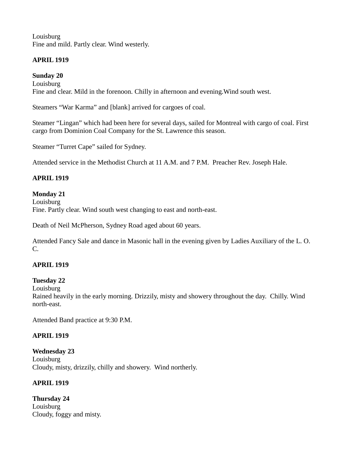Louisburg Fine and mild. Partly clear. Wind westerly.

# **APRIL 1919**

**Sunday 20** Louisburg Fine and clear. Mild in the forenoon. Chilly in afternoon and evening.Wind south west.

Steamers "War Karma" and [blank] arrived for cargoes of coal.

Steamer "Lingan" which had been here for several days, sailed for Montreal with cargo of coal. First cargo from Dominion Coal Company for the St. Lawrence this season.

Steamer "Turret Cape" sailed for Sydney.

Attended service in the Methodist Church at 11 A.M. and 7 P.M. Preacher Rev. Joseph Hale.

# **APRIL 1919**

### **Monday 21**

Louisburg Fine. Partly clear. Wind south west changing to east and north-east.

Death of Neil McPherson, Sydney Road aged about 60 years.

Attended Fancy Sale and dance in Masonic hall in the evening given by Ladies Auxiliary of the L. O.  $C_{\cdot}$ 

# **APRIL 1919**

# **Tuesday 22**

Louisburg

Rained heavily in the early morning. Drizzily, misty and showery throughout the day. Chilly. Wind north-east.

Attended Band practice at 9:30 P.M.

# **APRIL 1919**

**Wednesday 23** Louisburg Cloudy, misty, drizzily, chilly and showery. Wind northerly.

# **APRIL 1919**

**Thursday 24 Louisburg** Cloudy, foggy and misty.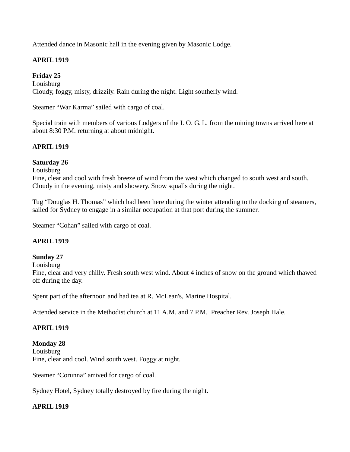Attended dance in Masonic hall in the evening given by Masonic Lodge.

# **APRIL 1919**

**Friday 25** Louisburg Cloudy, foggy, misty, drizzily. Rain during the night. Light southerly wind.

Steamer "War Karma" sailed with cargo of coal.

Special train with members of various Lodgers of the I. O. G. L. from the mining towns arrived here at about 8:30 P.M. returning at about midnight.

# **APRIL 1919**

### **Saturday 26**

**Louisburg** 

Fine, clear and cool with fresh breeze of wind from the west which changed to south west and south. Cloudy in the evening, misty and showery. Snow squalls during the night.

Tug "Douglas H. Thomas" which had been here during the winter attending to the docking of steamers, sailed for Sydney to engage in a similar occupation at that port during the summer.

Steamer "Cohan" sailed with cargo of coal.

### **APRIL 1919**

### **Sunday 27**

Louisburg

Fine, clear and very chilly. Fresh south west wind. About 4 inches of snow on the ground which thawed off during the day.

Spent part of the afternoon and had tea at R. McLean's, Marine Hospital.

Attended service in the Methodist church at 11 A.M. and 7 P.M. Preacher Rev. Joseph Hale.

### **APRIL 1919**

**Monday 28** Louisburg Fine, clear and cool. Wind south west. Foggy at night.

Steamer "Corunna" arrived for cargo of coal.

Sydney Hotel, Sydney totally destroyed by fire during the night.

### **APRIL 1919**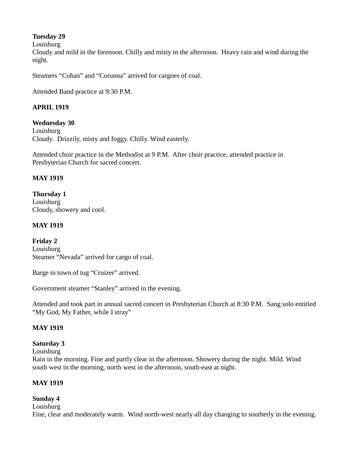# **Tuesday 29**

Louisburg

Cloudy and mild in the forenoon. Chilly and misty in the afternoon. Heavy rain and wind during the night.

Steamers "Cohan" and "Corunna" arrived for cargoes of coal.

Attended Band practice at 9:30 P.M.

# **APRIL 1919**

**Wednesday 30 Louisburg** Cloudy. Drizzily, misty and foggy. Chilly. Wind easterly.

Attended choir practice in the Methodist at 9 P.M. After choir practice, attended practice in Presbyterian Church for sacred concert.

# **MAY 1919**

**Thursday 1** Louisburg Cloudy, showery and cool.

# **MAY 1919**

**Friday 2** Louisburg Steamer "Nevada" arrived for cargo of coal.

Barge in town of tug "Cruizer" arrived.

Government steamer "Stanley" arrived in the evening.

Attended and took part in annual sacred concert in Presbyterian Church at 8:30 P.M. Sang solo entitled "My God, My Father, while I stray"

### **MAY 1919**

### **Saturday 3**

Louisburg

Rain in the morning. Fine and partly clear in the afternoon. Showery during the night. Mild. Wind south west in the morning, north west in the afternoon, south-east at night.

# **MAY 1919**

### **Sunday 4**

Louisburg

Fine, clear and moderately warm. Wind north-west nearly all day changing to southerly in the evening.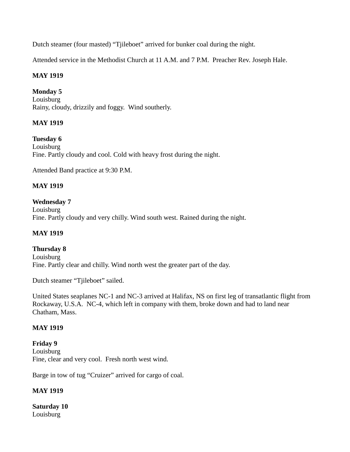Dutch steamer (four masted) "Tjileboet" arrived for bunker coal during the night.

Attended service in the Methodist Church at 11 A.M. and 7 P.M. Preacher Rev. Joseph Hale.

# **MAY 1919**

**Monday 5** Louisburg Rainy, cloudy, drizzily and foggy. Wind southerly.

# **MAY 1919**

**Tuesday 6** Louisburg Fine. Partly cloudy and cool. Cold with heavy frost during the night.

Attended Band practice at 9:30 P.M.

### **MAY 1919**

### **Wednesday 7** Louisburg Fine. Partly cloudy and very chilly. Wind south west. Rained during the night.

### **MAY 1919**

**Thursday 8** Louisburg Fine. Partly clear and chilly. Wind north west the greater part of the day.

Dutch steamer "Tjileboet" sailed.

United States seaplanes NC-1 and NC-3 arrived at Halifax, NS on first leg of transatlantic flight from Rockaway, U.S.A. NC-4, which left in company with them, broke down and had to land near Chatham, Mass.

### **MAY 1919**

**Friday 9** Louisburg Fine, clear and very cool. Fresh north west wind.

Barge in tow of tug "Cruizer" arrived for cargo of coal.

### **MAY 1919**

**Saturday 10** Louisburg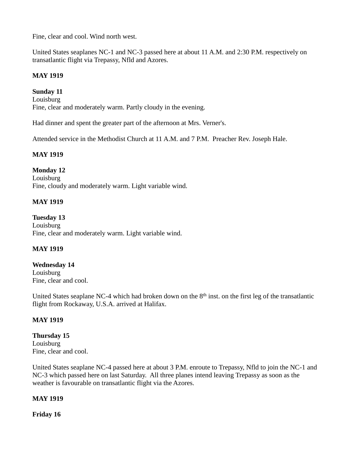Fine, clear and cool. Wind north west.

United States seaplanes NC-1 and NC-3 passed here at about 11 A.M. and 2:30 P.M. respectively on transatlantic flight via Trepassy, Nfld and Azores.

### **MAY 1919**

**Sunday 11** Louisburg Fine, clear and moderately warm. Partly cloudy in the evening.

Had dinner and spent the greater part of the afternoon at Mrs. Verner's.

Attended service in the Methodist Church at 11 A.M. and 7 P.M. Preacher Rev. Joseph Hale.

### **MAY 1919**

### **Monday 12**

Louisburg Fine, cloudy and moderately warm. Light variable wind.

### **MAY 1919**

**Tuesday 13** Louisburg Fine, clear and moderately warm. Light variable wind.

### **MAY 1919**

#### **Wednesday 14** Louisburg Fine, clear and cool.

United States seaplane NC-4 which had broken down on the  $8<sup>th</sup>$  inst. on the first leg of the transatlantic flight from Rockaway, U.S.A. arrived at Halifax.

### **MAY 1919**

#### **Thursday 15** Louisburg Fine, clear and cool.

United States seaplane NC-4 passed here at about 3 P.M. enroute to Trepassy, Nfld to join the NC-1 and NC-3 which passed here on last Saturday. All three planes intend leaving Trepassy as soon as the weather is favourable on transatlantic flight via the Azores.

### **MAY 1919**

**Friday 16**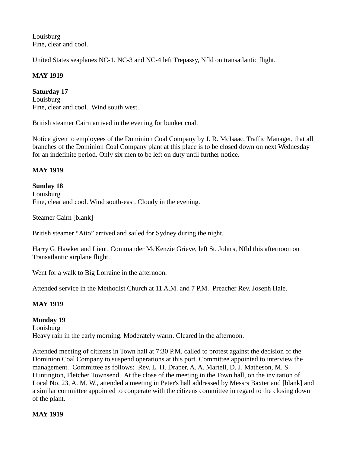Louisburg Fine, clear and cool.

United States seaplanes NC-1, NC-3 and NC-4 left Trepassy, Nfld on transatlantic flight.

# **MAY 1919**

**Saturday 17** Louisburg Fine, clear and cool. Wind south west.

British steamer Cairn arrived in the evening for bunker coal.

Notice given to employees of the Dominion Coal Company by J. R. McIsaac, Traffic Manager, that all branches of the Dominion Coal Company plant at this place is to be closed down on next Wednesday for an indefinite period. Only six men to be left on duty until further notice.

# **MAY 1919**

**Sunday 18** Louisburg Fine, clear and cool. Wind south-east. Cloudy in the evening.

Steamer Cairn [blank]

British steamer "Atto" arrived and sailed for Sydney during the night.

Harry G. Hawker and Lieut. Commander McKenzie Grieve, left St. John's, Nfld this afternoon on Transatlantic airplane flight.

Went for a walk to Big Lorraine in the afternoon.

Attended service in the Methodist Church at 11 A.M. and 7 P.M. Preacher Rev. Joseph Hale.

# **MAY 1919**

**Monday 19** Louisburg Heavy rain in the early morning. Moderately warm. Cleared in the afternoon.

Attended meeting of citizens in Town hall at 7:30 P.M. called to protest against the decision of the Dominion Coal Company to suspend operations at this port. Committee appointed to interview the management. Committee as follows: Rev. L. H. Draper, A. A. Martell, D. J. Matheson, M. S. Huntington, Fletcher Townsend. At the close of the meeting in the Town hall, on the invitation of Local No. 23, A. M. W., attended a meeting in Peter's hall addressed by Messrs Baxter and [blank] and a similar committee appointed to cooperate with the citizens committee in regard to the closing down of the plant.

### **MAY 1919**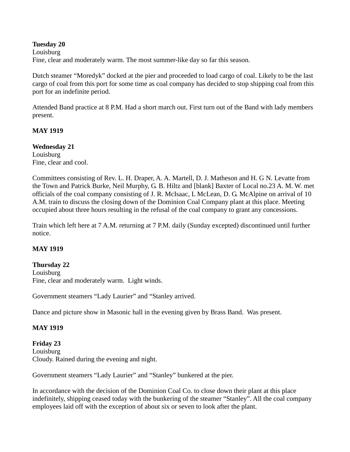### **Tuesday 20**

Louisburg Fine, clear and moderately warm. The most summer-like day so far this season.

Dutch steamer "Moredyk" docked at the pier and proceeded to load cargo of coal. Likely to be the last cargo of coal from this port for some time as coal company has decided to stop shipping coal from this port for an indefinite period.

Attended Band practice at 8 P.M. Had a short march out. First turn out of the Band with lady members present.

### **MAY 1919**

**Wednesday 21** Louisburg Fine, clear and cool.

Committees consisting of Rev. L. H. Draper, A. A. Martell, D. J. Matheson and H. G N. Levatte from the Town and Patrick Burke, Neil Murphy, G. B. Hiltz and [blank] Baxter of Local no.23 A. M. W. met officials of the coal company consisting of J. R. McIsaac, L McLean, D. G. McAlpine on arrival of 10 A.M. train to discuss the closing down of the Dominion Coal Company plant at this place. Meeting occupied about three hours resulting in the refusal of the coal company to grant any concessions.

Train which left here at 7 A.M. returning at 7 P.M. daily (Sunday excepted) discontinued until further notice.

### **MAY 1919**

#### **Thursday 22**

Louisburg Fine, clear and moderately warm. Light winds.

Government steamers "Lady Laurier" and "Stanley arrived.

Dance and picture show in Masonic hall in the evening given by Brass Band. Was present.

### **MAY 1919**

**Friday 23** Louisburg Cloudy. Rained during the evening and night.

Government steamers "Lady Laurier" and "Stanley" bunkered at the pier.

In accordance with the decision of the Dominion Coal Co. to close down their plant at this place indefinitely, shipping ceased today with the bunkering of the steamer "Stanley". All the coal company employees laid off with the exception of about six or seven to look after the plant.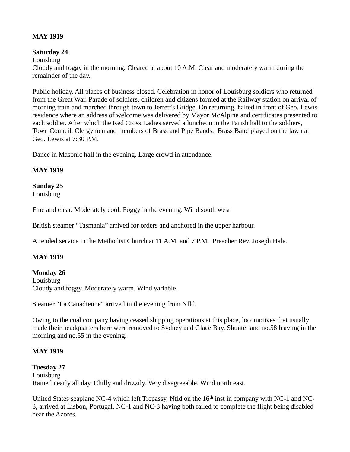### **MAY 1919**

### **Saturday 24**

Louisburg Cloudy and foggy in the morning. Cleared at about 10 A.M. Clear and moderately warm during the remainder of the day.

Public holiday. All places of business closed. Celebration in honor of Louisburg soldiers who returned from the Great War. Parade of soldiers, children and citizens formed at the Railway station on arrival of morning train and marched through town to Jerrett's Bridge. On returning, halted in front of Geo. Lewis residence where an address of welcome was delivered by Mayor McAlpine and certificates presented to each soldier. After which the Red Cross Ladies served a luncheon in the Parish hall to the soldiers, Town Council, Clergymen and members of Brass and Pipe Bands. Brass Band played on the lawn at Geo. Lewis at 7:30 P.M.

Dance in Masonic hall in the evening. Large crowd in attendance.

# **MAY 1919**

# **Sunday 25**

Louisburg

Fine and clear. Moderately cool. Foggy in the evening. Wind south west.

British steamer "Tasmania" arrived for orders and anchored in the upper harbour.

Attended service in the Methodist Church at 11 A.M. and 7 P.M. Preacher Rev. Joseph Hale.

### **MAY 1919**

### **Monday 26**

Louisburg Cloudy and foggy. Moderately warm. Wind variable.

Steamer "La Canadienne" arrived in the evening from Nfld.

Owing to the coal company having ceased shipping operations at this place, locomotives that usually made their headquarters here were removed to Sydney and Glace Bay. Shunter and no.58 leaving in the morning and no.55 in the evening.

### **MAY 1919**

### **Tuesday 27**

Louisburg Rained nearly all day. Chilly and drizzily. Very disagreeable. Wind north east.

United States seaplane NC-4 which left Trepassy, Nfld on the 16<sup>th</sup> inst in company with NC-1 and NC-3, arrived at Lisbon, Portugal. NC-1 and NC-3 having both failed to complete the flight being disabled near the Azores.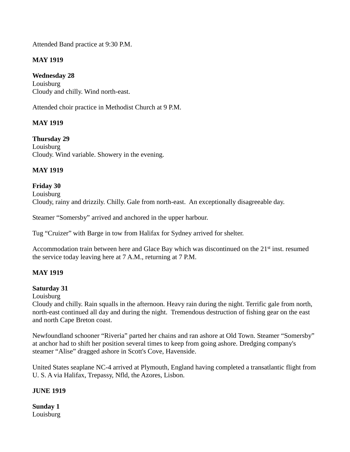Attended Band practice at 9:30 P.M.

# **MAY 1919**

**Wednesday 28** Louisburg Cloudy and chilly. Wind north-east.

Attended choir practice in Methodist Church at 9 P.M.

# **MAY 1919**

**Thursday 29 Louisburg** Cloudy. Wind variable. Showery in the evening.

# **MAY 1919**

### **Friday 30** Louisburg Cloudy, rainy and drizzily. Chilly. Gale from north-east. An exceptionally disagreeable day.

Steamer "Somersby" arrived and anchored in the upper harbour.

Tug "Cruizer" with Barge in tow from Halifax for Sydney arrived for shelter.

Accommodation train between here and Glace Bay which was discontinued on the 21<sup>st</sup> inst. resumed the service today leaving here at 7 A.M., returning at 7 P.M.

### **MAY 1919**

### **Saturday 31**

Louisburg

Cloudy and chilly. Rain squalls in the afternoon. Heavy rain during the night. Terrific gale from north, north-east continued all day and during the night. Tremendous destruction of fishing gear on the east and north Cape Breton coast.

Newfoundland schooner "Riveria" parted her chains and ran ashore at Old Town. Steamer "Somersby" at anchor had to shift her position several times to keep from going ashore. Dredging company's steamer "Alise" dragged ashore in Scott's Cove, Havenside.

United States seaplane NC-4 arrived at Plymouth, England having completed a transatlantic flight from U. S. A via Halifax, Trepassy, Nfld, the Azores, Lisbon.

### **JUNE 1919**

**Sunday 1** Louisburg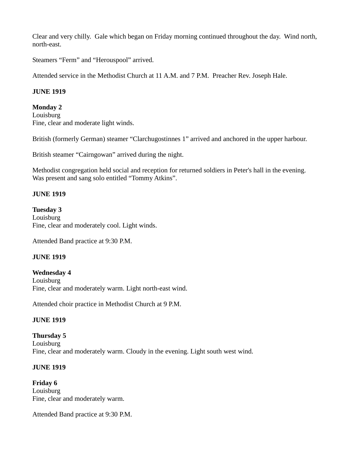Clear and very chilly. Gale which began on Friday morning continued throughout the day. Wind north, north-east.

Steamers "Ferm" and "Herouspool" arrived.

Attended service in the Methodist Church at 11 A.M. and 7 P.M. Preacher Rev. Joseph Hale.

### **JUNE 1919**

### **Monday 2**

Louisburg Fine, clear and moderate light winds.

British (formerly German) steamer "Clarchugostinnes 1" arrived and anchored in the upper harbour.

British steamer "Cairngowan" arrived during the night.

Methodist congregation held social and reception for returned soldiers in Peter's hall in the evening. Was present and sang solo entitled "Tommy Atkins".

# **JUNE 1919**

**Tuesday 3** Louisburg Fine, clear and moderately cool. Light winds.

Attended Band practice at 9:30 P.M.

### **JUNE 1919**

**Wednesday 4** Louisburg Fine, clear and moderately warm. Light north-east wind.

Attended choir practice in Methodist Church at 9 P.M.

### **JUNE 1919**

**Thursday 5** Louisburg Fine, clear and moderately warm. Cloudy in the evening. Light south west wind.

### **JUNE 1919**

**Friday 6** Louisburg Fine, clear and moderately warm.

Attended Band practice at 9:30 P.M.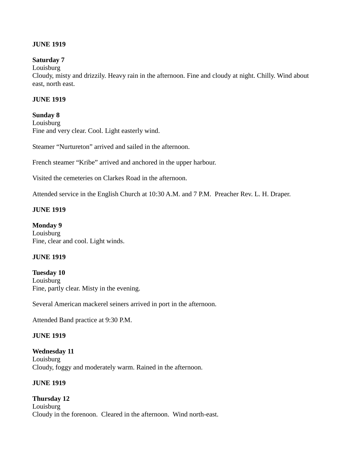### **JUNE 1919**

### **Saturday 7**

Louisburg

Cloudy, misty and drizzily. Heavy rain in the afternoon. Fine and cloudy at night. Chilly. Wind about east, north east.

### **JUNE 1919**

### **Sunday 8**

Louisburg Fine and very clear. Cool. Light easterly wind.

Steamer "Nurtureton" arrived and sailed in the afternoon.

French steamer "Kribe" arrived and anchored in the upper harbour.

Visited the cemeteries on Clarkes Road in the afternoon.

Attended service in the English Church at 10:30 A.M. and 7 P.M. Preacher Rev. L. H. Draper.

### **JUNE 1919**

**Monday 9** Louisburg Fine, clear and cool. Light winds.

#### **JUNE 1919**

**Tuesday 10** Louisburg Fine, partly clear. Misty in the evening.

Several American mackerel seiners arrived in port in the afternoon.

Attended Band practice at 9:30 P.M.

#### **JUNE 1919**

**Wednesday 11** Louisburg Cloudy, foggy and moderately warm. Rained in the afternoon.

### **JUNE 1919**

# **Thursday 12 Louisburg** Cloudy in the forenoon. Cleared in the afternoon. Wind north-east.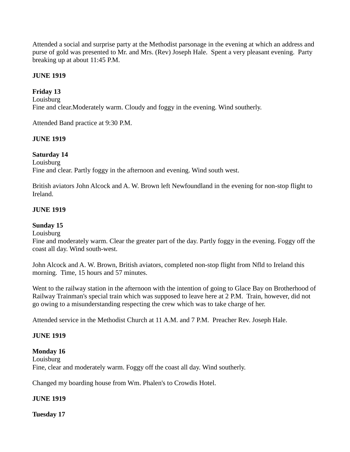Attended a social and surprise party at the Methodist parsonage in the evening at which an address and purse of gold was presented to Mr. and Mrs. (Rev) Joseph Hale. Spent a very pleasant evening. Party breaking up at about 11:45 P.M.

## **JUNE 1919**

# **Friday 13**

Louisburg Fine and clear.Moderately warm. Cloudy and foggy in the evening. Wind southerly.

Attended Band practice at 9:30 P.M.

## **JUNE 1919**

## **Saturday 14**

Louisburg Fine and clear. Partly foggy in the afternoon and evening. Wind south west.

British aviators John Alcock and A. W. Brown left Newfoundland in the evening for non-stop flight to Ireland.

## **JUNE 1919**

## **Sunday 15**

#### Louisburg

Fine and moderately warm. Clear the greater part of the day. Partly foggy in the evening. Foggy off the coast all day. Wind south-west.

John Alcock and A. W. Brown, British aviators, completed non-stop flight from Nfld to Ireland this morning. Time, 15 hours and 57 minutes.

Went to the railway station in the afternoon with the intention of going to Glace Bay on Brotherhood of Railway Trainman's special train which was supposed to leave here at 2 P.M. Train, however, did not go owing to a misunderstanding respecting the crew which was to take charge of her.

Attended service in the Methodist Church at 11 A.M. and 7 P.M. Preacher Rev. Joseph Hale.

## **JUNE 1919**

## **Monday 16**

Louisburg Fine, clear and moderately warm. Foggy off the coast all day. Wind southerly.

Changed my boarding house from Wm. Phalen's to Crowdis Hotel.

## **JUNE 1919**

**Tuesday 17**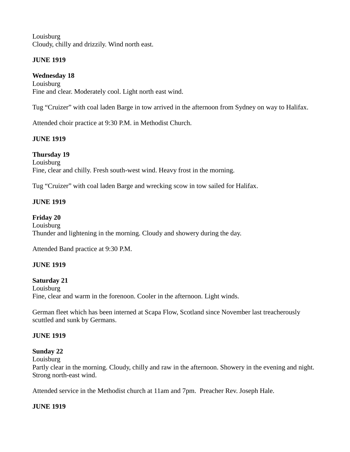**Louisburg** Cloudy, chilly and drizzily. Wind north east.

# **JUNE 1919**

**Wednesday 18** Louisburg Fine and clear. Moderately cool. Light north east wind.

Tug "Cruizer" with coal laden Barge in tow arrived in the afternoon from Sydney on way to Halifax.

Attended choir practice at 9:30 P.M. in Methodist Church.

# **JUNE 1919**

**Thursday 19** Louisburg Fine, clear and chilly. Fresh south-west wind. Heavy frost in the morning.

Tug "Cruizer" with coal laden Barge and wrecking scow in tow sailed for Halifax.

# **JUNE 1919**

**Friday 20** Louisburg Thunder and lightening in the morning. Cloudy and showery during the day.

Attended Band practice at 9:30 P.M.

# **JUNE 1919**

## **Saturday 21**

Louisburg Fine, clear and warm in the forenoon. Cooler in the afternoon. Light winds.

German fleet which has been interned at Scapa Flow, Scotland since November last treacherously scuttled and sunk by Germans.

## **JUNE 1919**

# **Sunday 22**

**Louisburg** 

Partly clear in the morning. Cloudy, chilly and raw in the afternoon. Showery in the evening and night. Strong north-east wind.

Attended service in the Methodist church at 11am and 7pm. Preacher Rev. Joseph Hale.

## **JUNE 1919**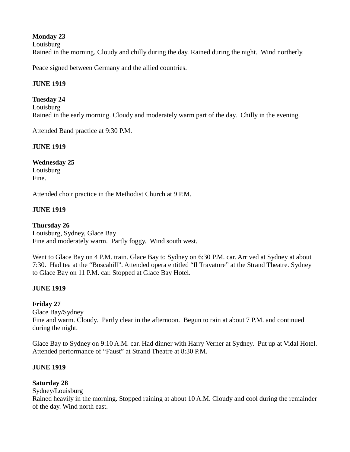## **Monday 23**

Louisburg

Rained in the morning. Cloudy and chilly during the day. Rained during the night. Wind northerly.

Peace signed between Germany and the allied countries.

## **JUNE 1919**

## **Tuesday 24**

Louisburg Rained in the early morning. Cloudy and moderately warm part of the day. Chilly in the evening.

Attended Band practice at 9:30 P.M.

# **JUNE 1919**

**Wednesday 25** Louisburg Fine.

Attended choir practice in the Methodist Church at 9 P.M.

# **JUNE 1919**

**Thursday 26** Louisburg, Sydney, Glace Bay Fine and moderately warm. Partly foggy. Wind south west.

Went to Glace Bay on 4 P.M. train. Glace Bay to Sydney on 6:30 P.M. car. Arrived at Sydney at about 7:30. Had tea at the "Boscahill". Attended opera entitled "Il Travatore" at the Strand Theatre. Sydney to Glace Bay on 11 P.M. car. Stopped at Glace Bay Hotel.

# **JUNE 1919**

# **Friday 27**

Glace Bay/Sydney

Fine and warm. Cloudy. Partly clear in the afternoon. Begun to rain at about 7 P.M. and continued during the night.

Glace Bay to Sydney on 9:10 A.M. car. Had dinner with Harry Verner at Sydney. Put up at Vidal Hotel. Attended performance of "Faust" at Strand Theatre at 8:30 P.M.

## **JUNE 1919**

# **Saturday 28**

Sydney/Louisburg

Rained heavily in the morning. Stopped raining at about 10 A.M. Cloudy and cool during the remainder of the day. Wind north east.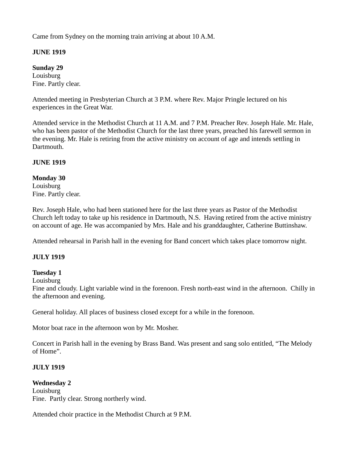Came from Sydney on the morning train arriving at about 10 A.M.

# **JUNE 1919**

**Sunday 29** Louisburg Fine. Partly clear.

Attended meeting in Presbyterian Church at 3 P.M. where Rev. Major Pringle lectured on his experiences in the Great War.

Attended service in the Methodist Church at 11 A.M. and 7 P.M. Preacher Rev. Joseph Hale. Mr. Hale, who has been pastor of the Methodist Church for the last three years, preached his farewell sermon in the evening. Mr. Hale is retiring from the active ministry on account of age and intends settling in Dartmouth.

# **JUNE 1919**

# **Monday 30** Louisburg

Fine. Partly clear.

Rev. Joseph Hale, who had been stationed here for the last three years as Pastor of the Methodist Church left today to take up his residence in Dartmouth, N.S. Having retired from the active ministry on account of age. He was accompanied by Mrs. Hale and his granddaughter, Catherine Buttinshaw.

Attended rehearsal in Parish hall in the evening for Band concert which takes place tomorrow night.

# **JULY 1919**

# **Tuesday 1**

Louisburg

Fine and cloudy. Light variable wind in the forenoon. Fresh north-east wind in the afternoon. Chilly in the afternoon and evening.

General holiday. All places of business closed except for a while in the forenoon.

Motor boat race in the afternoon won by Mr. Mosher.

Concert in Parish hall in the evening by Brass Band. Was present and sang solo entitled, "The Melody of Home".

# **JULY 1919**

**Wednesday 2** Louisburg Fine. Partly clear. Strong northerly wind.

Attended choir practice in the Methodist Church at 9 P.M.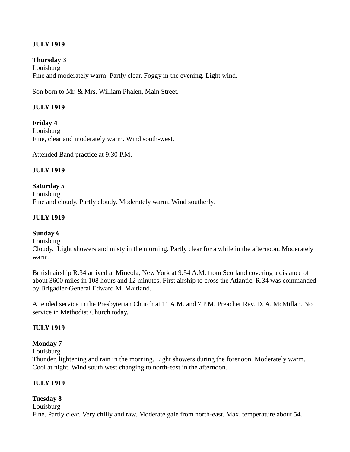# **JULY 1919**

#### **Thursday 3**

Louisburg Fine and moderately warm. Partly clear. Foggy in the evening. Light wind.

Son born to Mr. & Mrs. William Phalen, Main Street.

#### **JULY 1919**

**Friday 4 Louisburg** Fine, clear and moderately warm. Wind south-west.

Attended Band practice at 9:30 P.M.

## **JULY 1919**

**Saturday 5** Louisburg Fine and cloudy. Partly cloudy. Moderately warm. Wind southerly.

#### **JULY 1919**

#### **Sunday 6**

Louisburg

Cloudy. Light showers and misty in the morning. Partly clear for a while in the afternoon. Moderately warm.

British airship R.34 arrived at Mineola, New York at 9:54 A.M. from Scotland covering a distance of about 3600 miles in 108 hours and 12 minutes. First airship to cross the Atlantic. R.34 was commanded by Brigadier-General Edward M. Maitland.

Attended service in the Presbyterian Church at 11 A.M. and 7 P.M. Preacher Rev. D. A. McMillan. No service in Methodist Church today.

#### **JULY 1919**

#### **Monday 7**

Louisburg

Thunder, lightening and rain in the morning. Light showers during the forenoon. Moderately warm. Cool at night. Wind south west changing to north-east in the afternoon.

#### **JULY 1919**

#### **Tuesday 8**

**Louisburg** 

Fine. Partly clear. Very chilly and raw. Moderate gale from north-east. Max. temperature about 54.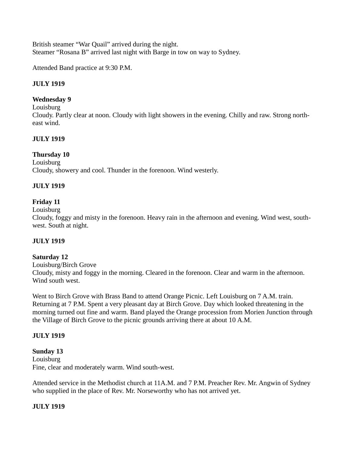British steamer "War Quail" arrived during the night. Steamer "Rosana B" arrived last night with Barge in tow on way to Sydney.

Attended Band practice at 9:30 P.M.

# **JULY 1919**

#### **Wednesday 9**

Louisburg

Cloudy. Partly clear at noon. Cloudy with light showers in the evening. Chilly and raw. Strong northeast wind.

#### **JULY 1919**

#### **Thursday 10**

**Louisburg** Cloudy, showery and cool. Thunder in the forenoon. Wind westerly.

#### **JULY 1919**

## **Friday 11**

Louisburg

Cloudy, foggy and misty in the forenoon. Heavy rain in the afternoon and evening. Wind west, southwest. South at night.

#### **JULY 1919**

## **Saturday 12**

Louisburg/Birch Grove Cloudy, misty and foggy in the morning. Cleared in the forenoon. Clear and warm in the afternoon. Wind south west.

Went to Birch Grove with Brass Band to attend Orange Picnic. Left Louisburg on 7 A.M. train. Returning at 7 P.M. Spent a very pleasant day at Birch Grove. Day which looked threatening in the morning turned out fine and warm. Band played the Orange procession from Morien Junction through the Village of Birch Grove to the picnic grounds arriving there at about 10 A.M.

#### **JULY 1919**

#### **Sunday 13** Louisburg Fine, clear and moderately warm. Wind south-west.

Attended service in the Methodist church at 11A.M. and 7 P.M. Preacher Rev. Mr. Angwin of Sydney who supplied in the place of Rev. Mr. Norseworthy who has not arrived yet.

#### **JULY 1919**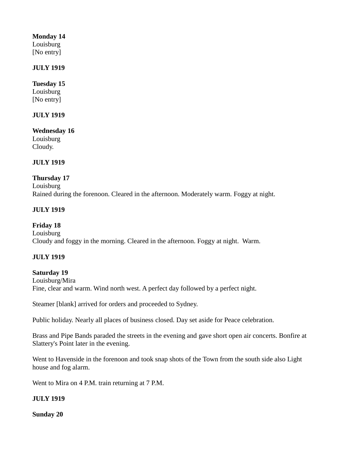## **Monday 14**

Louisburg [No entry]

## **JULY 1919**

# **Tuesday 15**

Louisburg [No entry]

## **JULY 1919**

**Wednesday 16** Louisburg Cloudy.

# **JULY 1919**

## **Thursday 17**

Louisburg Rained during the forenoon. Cleared in the afternoon. Moderately warm. Foggy at night.

# **JULY 1919**

**Friday 18** Louisburg Cloudy and foggy in the morning. Cleared in the afternoon. Foggy at night. Warm.

## **JULY 1919**

## **Saturday 19**

Louisburg/Mira Fine, clear and warm. Wind north west. A perfect day followed by a perfect night.

Steamer [blank] arrived for orders and proceeded to Sydney.

Public holiday. Nearly all places of business closed. Day set aside for Peace celebration.

Brass and Pipe Bands paraded the streets in the evening and gave short open air concerts. Bonfire at Slattery's Point later in the evening.

Went to Havenside in the forenoon and took snap shots of the Town from the south side also Light house and fog alarm.

Went to Mira on 4 P.M. train returning at 7 P.M.

# **JULY 1919**

**Sunday 20**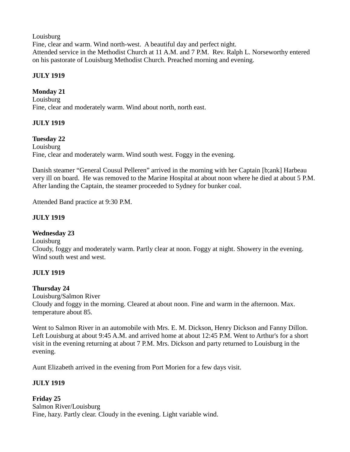**Louisburg** 

Fine, clear and warm. Wind north-west. A beautiful day and perfect night. Attended service in the Methodist Church at 11 A.M. and 7 P.M. Rev. Ralph L. Norseworthy entered on his pastorate of Louisburg Methodist Church. Preached morning and evening.

# **JULY 1919**

# **Monday 21**

Louisburg Fine, clear and moderately warm. Wind about north, north east.

# **JULY 1919**

## **Tuesday 22**

**Louisburg** Fine, clear and moderately warm. Wind south west. Foggy in the evening.

Danish steamer "General Cousul Pelleren" arrived in the morning with her Captain [b;ank] Harbeau very ill on board. He was removed to the Marine Hospital at about noon where he died at about 5 P.M. After landing the Captain, the steamer proceeded to Sydney for bunker coal.

Attended Band practice at 9:30 P.M.

## **JULY 1919**

## **Wednesday 23**

Louisburg

Cloudy, foggy and moderately warm. Partly clear at noon. Foggy at night. Showery in the evening. Wind south west and west.

## **JULY 1919**

## **Thursday 24**

Louisburg/Salmon River Cloudy and foggy in the morning. Cleared at about noon. Fine and warm in the afternoon. Max. temperature about 85.

Went to Salmon River in an automobile with Mrs. E. M. Dickson, Henry Dickson and Fanny Dillon. Left Louisburg at about 9:45 A.M. and arrived home at about 12:45 P.M. Went to Arthur's for a short visit in the evening returning at about 7 P.M. Mrs. Dickson and party returned to Louisburg in the evening.

Aunt Elizabeth arrived in the evening from Port Morien for a few days visit.

# **JULY 1919**

**Friday 25** Salmon River/Louisburg Fine, hazy. Partly clear. Cloudy in the evening. Light variable wind.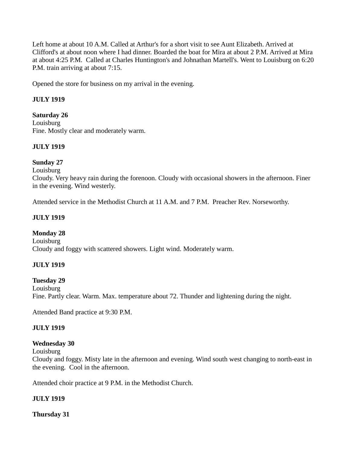Left home at about 10 A.M. Called at Arthur's for a short visit to see Aunt Elizabeth. Arrived at Clifford's at about noon where I had dinner. Boarded the boat for Mira at about 2 P.M. Arrived at Mira at about 4:25 P.M. Called at Charles Huntington's and Johnathan Martell's. Went to Louisburg on 6:20 P.M. train arriving at about 7:15.

Opened the store for business on my arrival in the evening.

## **JULY 1919**

**Saturday 26** Louisburg Fine. Mostly clear and moderately warm.

## **JULY 1919**

#### **Sunday 27**

**Louisburg** 

Cloudy. Very heavy rain during the forenoon. Cloudy with occasional showers in the afternoon. Finer in the evening. Wind westerly.

Attended service in the Methodist Church at 11 A.M. and 7 P.M. Preacher Rev. Norseworthy.

#### **JULY 1919**

#### **Monday 28**

Louisburg Cloudy and foggy with scattered showers. Light wind. Moderately warm.

#### **JULY 1919**

#### **Tuesday 29**

**Louisburg** Fine. Partly clear. Warm. Max. temperature about 72. Thunder and lightening during the night.

Attended Band practice at 9:30 P.M.

#### **JULY 1919**

#### **Wednesday 30**

Louisburg

Cloudy and foggy. Misty late in the afternoon and evening. Wind south west changing to north-east in the evening. Cool in the afternoon.

Attended choir practice at 9 P.M. in the Methodist Church.

## **JULY 1919**

**Thursday 31**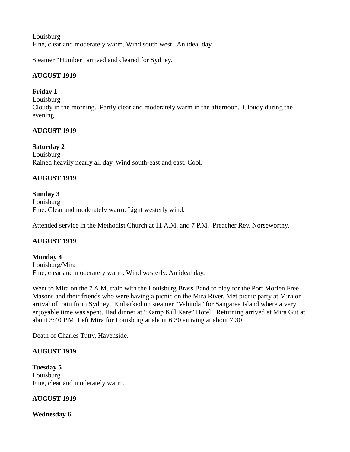**Louisburg** Fine, clear and moderately warm. Wind south west. An ideal day.

Steamer "Humber" arrived and cleared for Sydney.

# **AUGUST 1919**

# **Friday 1**

Louisburg Cloudy in the morning. Partly clear and moderately warm in the afternoon. Cloudy during the evening.

# **AUGUST 1919**

# **Saturday 2**

Louisburg Rained heavily nearly all day. Wind south-east and east. Cool.

# **AUGUST 1919**

#### **Sunday 3** Louisburg Fine. Clear and moderately warm. Light westerly wind.

Attended service in the Methodist Church at 11 A.M. and 7 P.M. Preacher Rev. Norseworthy.

# **AUGUST 1919**

**Monday 4** Louisburg/Mira Fine, clear and moderately warm. Wind westerly. An ideal day.

Went to Mira on the 7 A.M. train with the Louisburg Brass Band to play for the Port Morien Free Masons and their friends who were having a picnic on the Mira River. Met picnic party at Mira on arrival of train from Sydney. Embarked on steamer "Valunda" for Sangaree Island where a very enjoyable time was spent. Had dinner at "Kamp Kill Kare" Hotel. Returning arrived at Mira Gut at about 3:40 P.M. Left Mira for Louisburg at about 6:30 arriving at about 7:30.

Death of Charles Tutty, Havenside.

# **AUGUST 1919**

**Tuesday 5** Louisburg Fine, clear and moderately warm.

# **AUGUST 1919**

**Wednesday 6**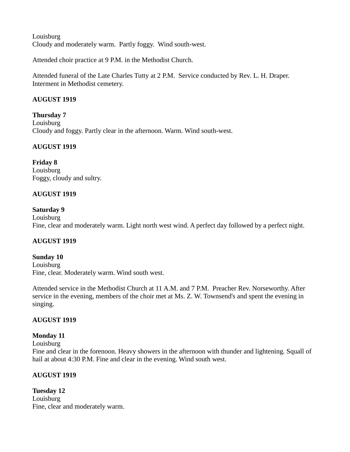**Louisburg** Cloudy and moderately warm. Partly foggy. Wind south-west.

Attended choir practice at 9 P.M. in the Methodist Church.

Attended funeral of the Late Charles Tutty at 2 P.M. Service conducted by Rev. L. H. Draper. Interment in Methodist cemetery.

# **AUGUST 1919**

**Thursday 7** Louisburg Cloudy and foggy. Partly clear in the afternoon. Warm. Wind south-west.

# **AUGUST 1919**

**Friday 8** Louisburg Foggy, cloudy and sultry.

## **AUGUST 1919**

## **Saturday 9**

Louisburg Fine, clear and moderately warm. Light north west wind. A perfect day followed by a perfect night.

## **AUGUST 1919**

**Sunday 10** Louisburg Fine, clear. Moderately warm. Wind south west.

Attended service in the Methodist Church at 11 A.M. and 7 P.M. Preacher Rev. Norseworthy. After service in the evening, members of the choir met at Ms. Z. W. Townsend's and spent the evening in singing.

## **AUGUST 1919**

## **Monday 11**

Louisburg Fine and clear in the forenoon. Heavy showers in the afternoon with thunder and lightening. Squall of hail at about 4:30 P.M. Fine and clear in the evening. Wind south west.

## **AUGUST 1919**

**Tuesday 12** Louisburg Fine, clear and moderately warm.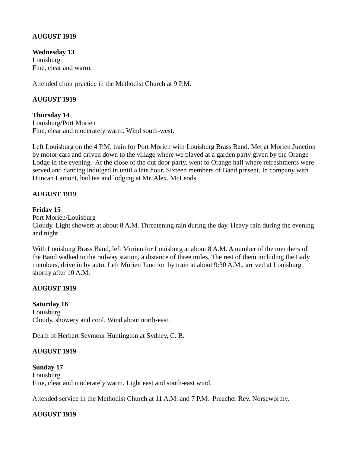## **AUGUST 1919**

**Wednesday 13** Louisburg Fine, clear and warm.

Attended choir practice in the Methodist Church at 9 P.M.

# **AUGUST 1919**

**Thursday 14** Louisburg/Port Morien Fine, clear and moderately warm. Wind south-west.

Left Louisburg on the 4 P.M. train for Port Morien with Louisburg Brass Band. Met at Morien Junction by motor cars and driven down to the village where we played at a garden party given by the Orange Lodge in the evening. At the close of the out door party, went to Orange hall where refreshments were served and dancing indulged in until a late hour. Sixteen members of Band present. In company with Duncan Lamont, had tea and lodging at Mr. Alex. McLeods.

## **AUGUST 1919**

#### **Friday 15**

Port Morien/Louisburg

Cloudy. Light showers at about 8 A.M. Threatening rain during the day. Heavy rain during the evening and night.

With Louisburg Brass Band, left Morien for Louisburg at about 8 A.M. A number of the members of the Band walked to the railway station, a distance of three miles. The rest of them including the Lady members, drive in by auto. Left Morien Junction by train at about 9:30 A.M., arrived at Louisburg shortly after 10 A.M.

## **AUGUST 1919**

## **Saturday 16**

Louisburg Cloudy, showery and cool. Wind about north-east.

Death of Herbert Seymour Huntington at Sydney, C. B.

## **AUGUST 1919**

# **Sunday 17**

Louisburg Fine, clear and moderately warm. Light east and south-east wind.

Attended service in the Methodist Church at 11 A.M. and 7 P.M. Preacher Rev. Norseworthy.

# **AUGUST 1919**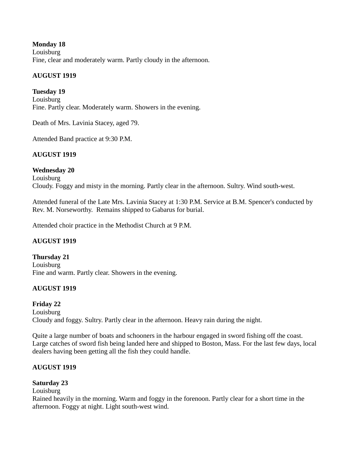## **Monday 18** Louisburg Fine, clear and moderately warm. Partly cloudy in the afternoon.

# **AUGUST 1919**

**Tuesday 19** Louisburg Fine. Partly clear. Moderately warm. Showers in the evening.

Death of Mrs. Lavinia Stacey, aged 79.

Attended Band practice at 9:30 P.M.

# **AUGUST 1919**

# **Wednesday 20**

Louisburg Cloudy. Foggy and misty in the morning. Partly clear in the afternoon. Sultry. Wind south-west.

Attended funeral of the Late Mrs. Lavinia Stacey at 1:30 P.M. Service at B.M. Spencer's conducted by Rev. M. Norseworthy. Remains shipped to Gabarus for burial.

Attended choir practice in the Methodist Church at 9 P.M.

# **AUGUST 1919**

**Thursday 21** Louisburg Fine and warm. Partly clear. Showers in the evening.

# **AUGUST 1919**

# **Friday 22**

Louisburg Cloudy and foggy. Sultry. Partly clear in the afternoon. Heavy rain during the night.

Quite a large number of boats and schooners in the harbour engaged in sword fishing off the coast. Large catches of sword fish being landed here and shipped to Boston, Mass. For the last few days, local dealers having been getting all the fish they could handle.

# **AUGUST 1919**

# **Saturday 23**

Louisburg

Rained heavily in the morning. Warm and foggy in the forenoon. Partly clear for a short time in the afternoon. Foggy at night. Light south-west wind.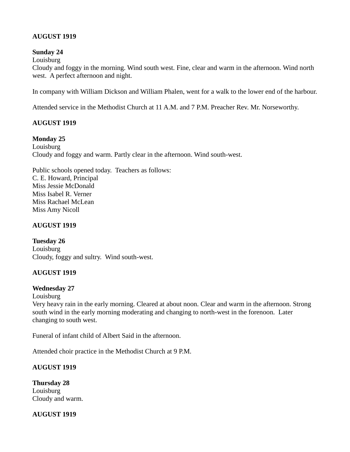# **AUGUST 1919**

#### **Sunday 24**

Louisburg

Cloudy and foggy in the morning. Wind south west. Fine, clear and warm in the afternoon. Wind north west. A perfect afternoon and night.

In company with William Dickson and William Phalen, went for a walk to the lower end of the harbour.

Attended service in the Methodist Church at 11 A.M. and 7 P.M. Preacher Rev. Mr. Norseworthy.

# **AUGUST 1919**

#### **Monday 25**

Louisburg Cloudy and foggy and warm. Partly clear in the afternoon. Wind south-west.

Public schools opened today. Teachers as follows: C. E. Howard, Principal Miss Jessie McDonald Miss Isabel R. Verner Miss Rachael McLean Miss Amy Nicoll

#### **AUGUST 1919**

**Tuesday 26 Louisburg** Cloudy, foggy and sultry. Wind south-west.

## **AUGUST 1919**

## **Wednesday 27**

Louisburg

Very heavy rain in the early morning. Cleared at about noon. Clear and warm in the afternoon. Strong south wind in the early morning moderating and changing to north-west in the forenoon. Later changing to south west.

Funeral of infant child of Albert Said in the afternoon.

Attended choir practice in the Methodist Church at 9 P.M.

## **AUGUST 1919**

**Thursday 28** Louisburg Cloudy and warm.

**AUGUST 1919**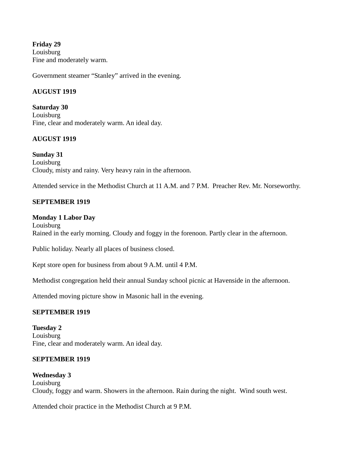**Friday 29** Louisburg Fine and moderately warm.

Government steamer "Stanley" arrived in the evening.

## **AUGUST 1919**

**Saturday 30** Louisburg Fine, clear and moderately warm. An ideal day.

#### **AUGUST 1919**

**Sunday 31** Louisburg Cloudy, misty and rainy. Very heavy rain in the afternoon.

Attended service in the Methodist Church at 11 A.M. and 7 P.M. Preacher Rev. Mr. Norseworthy.

#### **SEPTEMBER 1919**

#### **Monday 1 Labor Day**

Louisburg Rained in the early morning. Cloudy and foggy in the forenoon. Partly clear in the afternoon.

Public holiday. Nearly all places of business closed.

Kept store open for business from about 9 A.M. until 4 P.M.

Methodist congregation held their annual Sunday school picnic at Havenside in the afternoon.

Attended moving picture show in Masonic hall in the evening.

## **SEPTEMBER 1919**

**Tuesday 2** Louisburg Fine, clear and moderately warm. An ideal day.

## **SEPTEMBER 1919**

#### **Wednesday 3 Louisburg** Cloudy, foggy and warm. Showers in the afternoon. Rain during the night. Wind south west.

Attended choir practice in the Methodist Church at 9 P.M.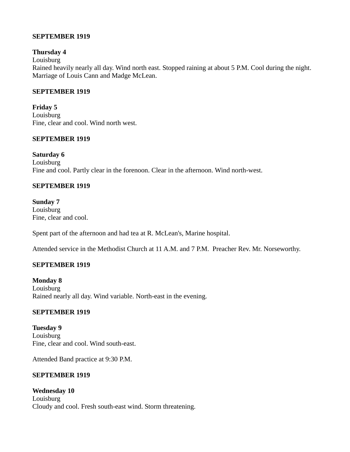#### **SEPTEMBER 1919**

#### **Thursday 4**

Louisburg

Rained heavily nearly all day. Wind north east. Stopped raining at about 5 P.M. Cool during the night. Marriage of Louis Cann and Madge McLean.

#### **SEPTEMBER 1919**

**Friday 5** Louisburg Fine, clear and cool. Wind north west.

#### **SEPTEMBER 1919**

**Saturday 6** Louisburg Fine and cool. Partly clear in the forenoon. Clear in the afternoon. Wind north-west.

#### **SEPTEMBER 1919**

**Sunday 7** Louisburg Fine, clear and cool.

Spent part of the afternoon and had tea at R. McLean's, Marine hospital.

Attended service in the Methodist Church at 11 A.M. and 7 P.M. Preacher Rev. Mr. Norseworthy.

## **SEPTEMBER 1919**

**Monday 8** Louisburg Rained nearly all day. Wind variable. North-east in the evening.

#### **SEPTEMBER 1919**

**Tuesday 9** Louisburg Fine, clear and cool. Wind south-east.

Attended Band practice at 9:30 P.M.

#### **SEPTEMBER 1919**

**Wednesday 10** Louisburg Cloudy and cool. Fresh south-east wind. Storm threatening.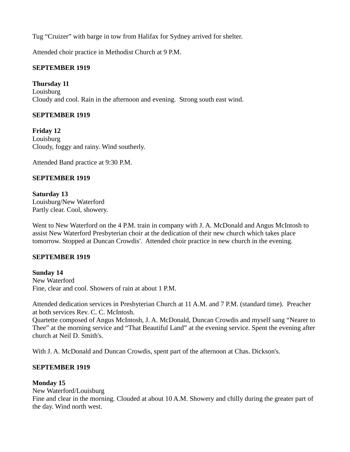Tug "Cruizer" with barge in tow from Halifax for Sydney arrived for shelter.

Attended choir practice in Methodist Church at 9 P.M.

# **SEPTEMBER 1919**

**Thursday 11 Louisburg** Cloudy and cool. Rain in the afternoon and evening. Strong south east wind.

# **SEPTEMBER 1919**

**Friday 12** Louisburg Cloudy, foggy and rainy. Wind southerly.

Attended Band practice at 9:30 P.M.

# **SEPTEMBER 1919**

**Saturday 13** Louisburg/New Waterford Partly clear. Cool, showery.

Went to New Waterford on the 4 P.M. train in company with J. A. McDonald and Angus McIntosh to assist New Waterford Presbyterian choir at the dedication of their new church which takes place tomorrow. Stopped at Duncan Crowdis'. Attended choir practice in new church in the evening.

## **SEPTEMBER 1919**

**Sunday 14** New Waterford Fine, clear and cool. Showers of rain at about 1 P.M.

Attended dedication services in Presbyterian Church at 11 A.M. and 7 P.M. (standard time). Preacher at both services Rev. C. C. McIntosh.

Quartette composed of Angus McIntosh, J. A. McDonald, Duncan Crowdis and myself sang "Nearer to Thee" at the morning service and "That Beautiful Land" at the evening service. Spent the evening after church at Neil D. Smith's.

With J. A. McDonald and Duncan Crowdis, spent part of the afternoon at Chas. Dickson's.

# **SEPTEMBER 1919**

# **Monday 15**

New Waterford/Louisburg Fine and clear in the morning. Clouded at about 10 A.M. Showery and chilly during the greater part of the day. Wind north west.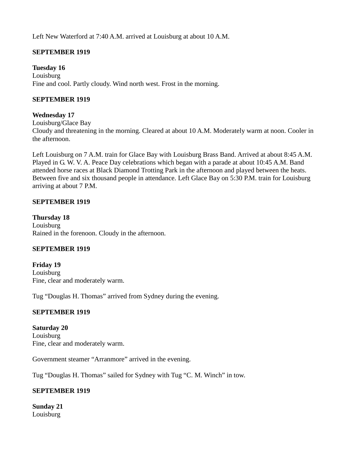Left New Waterford at 7:40 A.M. arrived at Louisburg at about 10 A.M.

# **SEPTEMBER 1919**

**Tuesday 16** Louisburg Fine and cool. Partly cloudy. Wind north west. Frost in the morning.

## **SEPTEMBER 1919**

## **Wednesday 17**

Louisburg/Glace Bay Cloudy and threatening in the morning. Cleared at about 10 A.M. Moderately warm at noon. Cooler in the afternoon.

Left Louisburg on 7 A.M. train for Glace Bay with Louisburg Brass Band. Arrived at about 8:45 A.M. Played in G. W. V. A. Peace Day celebrations which began with a parade at about 10:45 A.M. Band attended horse races at Black Diamond Trotting Park in the afternoon and played between the heats. Between five and six thousand people in attendance. Left Glace Bay on 5:30 P.M. train for Louisburg arriving at about 7 P.M.

## **SEPTEMBER 1919**

**Thursday 18** Louisburg Rained in the forenoon. Cloudy in the afternoon.

## **SEPTEMBER 1919**

**Friday 19** Louisburg Fine, clear and moderately warm.

Tug "Douglas H. Thomas" arrived from Sydney during the evening.

## **SEPTEMBER 1919**

**Saturday 20** Louisburg Fine, clear and moderately warm.

Government steamer "Arranmore" arrived in the evening.

Tug "Douglas H. Thomas" sailed for Sydney with Tug "C. M. Winch" in tow.

# **SEPTEMBER 1919**

**Sunday 21** Louisburg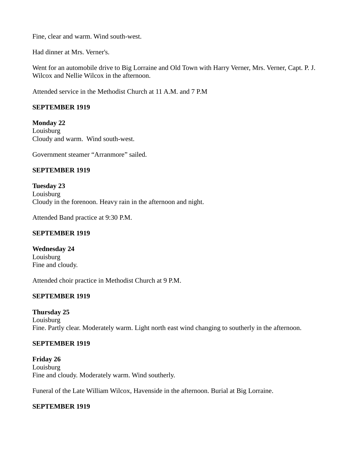Fine, clear and warm. Wind south-west.

Had dinner at Mrs. Verner's.

Went for an automobile drive to Big Lorraine and Old Town with Harry Verner, Mrs. Verner, Capt. P. J. Wilcox and Nellie Wilcox in the afternoon.

Attended service in the Methodist Church at 11 A.M. and 7 P.M

## **SEPTEMBER 1919**

**Monday 22 Louisburg** Cloudy and warm. Wind south-west.

Government steamer "Arranmore" sailed.

# **SEPTEMBER 1919**

**Tuesday 23** Louisburg Cloudy in the forenoon. Heavy rain in the afternoon and night.

Attended Band practice at 9:30 P.M.

## **SEPTEMBER 1919**

**Wednesday 24** Louisburg Fine and cloudy.

Attended choir practice in Methodist Church at 9 P.M.

# **SEPTEMBER 1919**

## **Thursday 25**

Louisburg Fine. Partly clear. Moderately warm. Light north east wind changing to southerly in the afternoon.

## **SEPTEMBER 1919**

**Friday 26** Louisburg Fine and cloudy. Moderately warm. Wind southerly.

Funeral of the Late William Wilcox, Havenside in the afternoon. Burial at Big Lorraine.

## **SEPTEMBER 1919**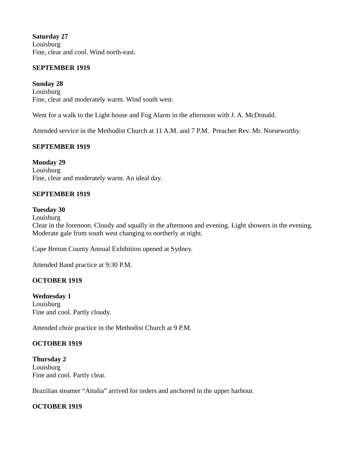**Saturday 27** Louisburg Fine, clear and cool. Wind north-east.

#### **SEPTEMBER 1919**

**Sunday 28** Louisburg Fine, clear and moderately warm. Wind south west.

Went for a walk to the Light house and Fog Alarm in the afternoon with J. A. McDonald.

Attended service in the Methodist Church at 11 A.M. and 7 P.M. Preacher Rev. Mr. Norseworthy.

## **SEPTEMBER 1919**

**Monday 29** Louisburg Fine, clear and moderately warm. An ideal day.

#### **SEPTEMBER 1919**

#### **Tuesday 30**

Louisburg Clear in the forenoon. Cloudy and squally in the afternoon and evening. Light showers in the evening. Moderate gale from south west changing to northerly at night.

Cape Breton County Annual Exhibition opened at Sydney.

Attended Band practice at 9:30 P.M.

#### **OCTOBER 1919**

**Wednesday 1** Louisburg Fine and cool. Partly cloudy.

Attended choir practice in the Methodist Church at 9 P.M.

## **OCTOBER 1919**

**Thursday 2** Louisburg Fine and cool. Partly clear.

Brazilian steamer "Attalia" arrived for orders and anchored in the upper harbour.

## **OCTOBER 1919**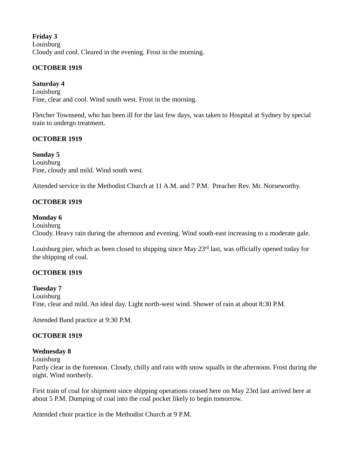**Friday 3** Louisburg Cloudy and cool. Cleared in the evening. Frost in the morning.

## **OCTOBER 1919**

**Saturday 4 Louisburg** Fine, clear and cool. Wind south west. Frost in the morning.

Fletcher Townsend, who has been ill for the last few days, was taken to Hospital at Sydney by special train to undergo treatment.

# **OCTOBER 1919**

**Sunday 5** Louisburg Fine, cloudy and mild. Wind south west.

Attended service in the Methodist Church at 11 A.M. and 7 P.M. Preacher Rev. Mr. Norseworthy.

# **OCTOBER 1919**

# **Monday 6**

Louisburg Cloudy. Heavy rain during the afternoon and evening. Wind south-east increasing to a moderate gale.

Louisburg pier, which as been closed to shipping since May 23<sup>rd</sup> last, was officially opened today for the shipping of coal.

## **OCTOBER 1919**

## **Tuesday 7**

Louisburg Fine, clear and mild. An ideal day. Light north-west wind. Shower of rain at about 8:30 P.M.

Attended Band practice at 9:30 P.M.

# **OCTOBER 1919**

## **Wednesday 8**

Louisburg

Partly clear in the forenoon. Cloudy, chilly and rain with snow squalls in the afternoon. Frost during the night. Wind northerly.

First train of coal for shipment since shipping operations ceased here on May 23rd last arrived here at about 5 P.M. Dumping of coal into the coal pocket likely to begin tomorrow.

Attended choir practice in the Methodist Church at 9 P.M.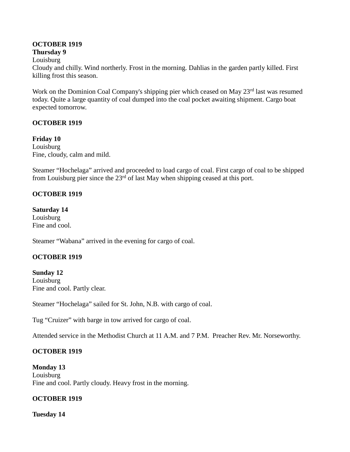## **OCTOBER 1919**

## **Thursday 9**

Louisburg

Cloudy and chilly. Wind northerly. Frost in the morning. Dahlias in the garden partly killed. First killing frost this season.

Work on the Dominion Coal Company's shipping pier which ceased on May 23<sup>rd</sup> last was resumed today. Quite a large quantity of coal dumped into the coal pocket awaiting shipment. Cargo boat expected tomorrow.

# **OCTOBER 1919**

**Friday 10** Louisburg Fine, cloudy, calm and mild.

Steamer "Hochelaga" arrived and proceeded to load cargo of coal. First cargo of coal to be shipped from Louisburg pier since the  $23<sup>rd</sup>$  of last May when shipping ceased at this port.

# **OCTOBER 1919**

**Saturday 14** Louisburg Fine and cool.

Steamer "Wabana" arrived in the evening for cargo of coal.

## **OCTOBER 1919**

**Sunday 12** Louisburg Fine and cool. Partly clear.

Steamer "Hochelaga" sailed for St. John, N.B. with cargo of coal.

Tug "Cruizer" with barge in tow arrived for cargo of coal.

Attended service in the Methodist Church at 11 A.M. and 7 P.M. Preacher Rev. Mr. Norseworthy.

# **OCTOBER 1919**

**Monday 13** Louisburg Fine and cool. Partly cloudy. Heavy frost in the morning.

# **OCTOBER 1919**

**Tuesday 14**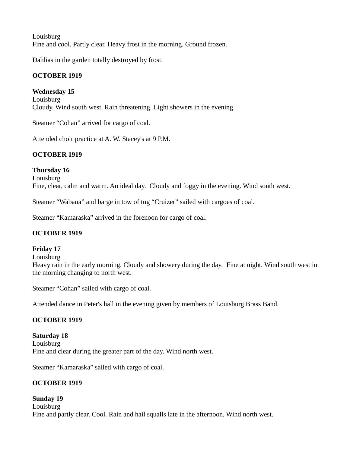Louisburg Fine and cool. Partly clear. Heavy frost in the morning. Ground frozen.

Dahlias in the garden totally destroyed by frost.

# **OCTOBER 1919**

**Wednesday 15**

Louisburg Cloudy. Wind south west. Rain threatening. Light showers in the evening.

Steamer "Cohan" arrived for cargo of coal.

Attended choir practice at A. W. Stacey's at 9 P.M.

# **OCTOBER 1919**

**Thursday 16** Louisburg Fine, clear, calm and warm. An ideal day. Cloudy and foggy in the evening. Wind south west.

Steamer "Wabana" and barge in tow of tug "Cruizer" sailed with cargoes of coal.

Steamer "Kamaraska" arrived in the forenoon for cargo of coal.

## **OCTOBER 1919**

## **Friday 17**

Louisburg

Heavy rain in the early morning. Cloudy and showery during the day. Fine at night. Wind south west in the morning changing to north west.

Steamer "Cohan" sailed with cargo of coal.

Attended dance in Peter's hall in the evening given by members of Louisburg Brass Band.

## **OCTOBER 1919**

**Saturday 18 Louisburg** Fine and clear during the greater part of the day. Wind north west.

Steamer "Kamaraska" sailed with cargo of coal.

# **OCTOBER 1919**

**Sunday 19 Louisburg** Fine and partly clear. Cool. Rain and hail squalls late in the afternoon. Wind north west.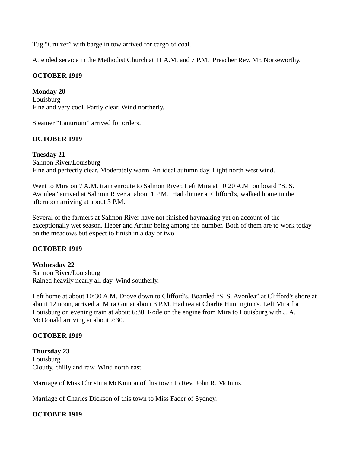Tug "Cruizer" with barge in tow arrived for cargo of coal.

Attended service in the Methodist Church at 11 A.M. and 7 P.M. Preacher Rev. Mr. Norseworthy.

#### **OCTOBER 1919**

**Monday 20** Louisburg Fine and very cool. Partly clear. Wind northerly.

Steamer "Lanurium" arrived for orders.

#### **OCTOBER 1919**

**Tuesday 21** Salmon River/Louisburg Fine and perfectly clear. Moderately warm. An ideal autumn day. Light north west wind.

Went to Mira on 7 A.M. train enroute to Salmon River. Left Mira at 10:20 A.M. on board "S. S. Avonlea" arrived at Salmon River at about 1 P.M. Had dinner at Clifford's, walked home in the afternoon arriving at about 3 P.M.

Several of the farmers at Salmon River have not finished haymaking yet on account of the exceptionally wet season. Heber and Arthur being among the number. Both of them are to work today on the meadows but expect to finish in a day or two.

#### **OCTOBER 1919**

**Wednesday 22** Salmon River/Louisburg Rained heavily nearly all day. Wind southerly.

Left home at about 10:30 A.M. Drove down to Clifford's. Boarded "S. S. Avonlea" at Clifford's shore at about 12 noon, arrived at Mira Gut at about 3 P.M. Had tea at Charlie Huntington's. Left Mira for Louisburg on evening train at about 6:30. Rode on the engine from Mira to Louisburg with J. A. McDonald arriving at about 7:30.

## **OCTOBER 1919**

**Thursday 23** Louisburg Cloudy, chilly and raw. Wind north east.

Marriage of Miss Christina McKinnon of this town to Rev. John R. McInnis.

Marriage of Charles Dickson of this town to Miss Fader of Sydney.

## **OCTOBER 1919**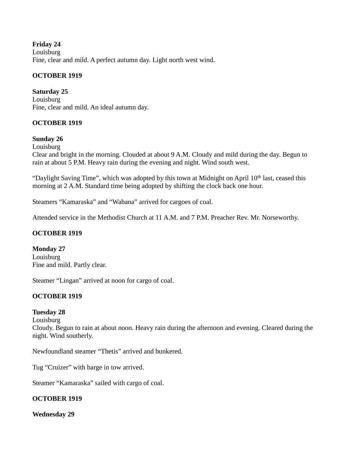**Friday 24 Louisburg** Fine, clear and mild. A perfect autumn day. Light north west wind.

# **OCTOBER 1919**

**Saturday 25** Louisburg Fine, clear and mild. An ideal autumn day.

# **OCTOBER 1919**

#### **Sunday 26**

Louisburg

Clear and bright in the morning. Clouded at about 9 A.M. Cloudy and mild during the day. Begun to rain at about 5 P.M. Heavy rain during the evening and night. Wind south west.

"Daylight Saving Time", which was adopted by this town at Midnight on April 10<sup>th</sup> last, ceased this morning at 2 A.M. Standard time being adopted by shifting the clock back one hour.

Steamers "Kamaraska" and "Wabana" arrived for cargoes of coal.

Attended service in the Methodist Church at 11 A.M. and 7 P.M. Preacher Rev. Mr. Norseworthy.

## **OCTOBER 1919**

**Monday 27**

Louisburg Fine and mild. Partly clear.

Steamer "Lingan" arrived at noon for cargo of coal.

## **OCTOBER 1919**

## **Tuesday 28**

Louisburg

Cloudy. Begun to rain at about noon. Heavy rain during the afternoon and evening. Cleared during the night. Wind southerly.

Newfoundland steamer "Thetis" arrived and bunkered.

Tug "Cruizer" with barge in tow arrived.

Steamer "Kamaraska" sailed with cargo of coal.

## **OCTOBER 1919**

**Wednesday 29**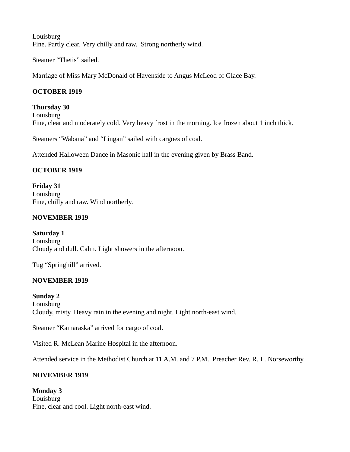**Louisburg** Fine. Partly clear. Very chilly and raw. Strong northerly wind.

Steamer "Thetis" sailed.

Marriage of Miss Mary McDonald of Havenside to Angus McLeod of Glace Bay.

# **OCTOBER 1919**

**Thursday 30** Louisburg Fine, clear and moderately cold. Very heavy frost in the morning. Ice frozen about 1 inch thick.

Steamers "Wabana" and "Lingan" sailed with cargoes of coal.

Attended Halloween Dance in Masonic hall in the evening given by Brass Band.

# **OCTOBER 1919**

**Friday 31** Louisburg Fine, chilly and raw. Wind northerly.

# **NOVEMBER 1919**

**Saturday 1** Louisburg Cloudy and dull. Calm. Light showers in the afternoon.

Tug "Springhill" arrived.

# **NOVEMBER 1919**

**Sunday 2 Louisburg** Cloudy, misty. Heavy rain in the evening and night. Light north-east wind.

Steamer "Kamaraska" arrived for cargo of coal.

Visited R. McLean Marine Hospital in the afternoon.

Attended service in the Methodist Church at 11 A.M. and 7 P.M. Preacher Rev. R. L. Norseworthy.

# **NOVEMBER 1919**

## **Monday 3**

Louisburg Fine, clear and cool. Light north-east wind.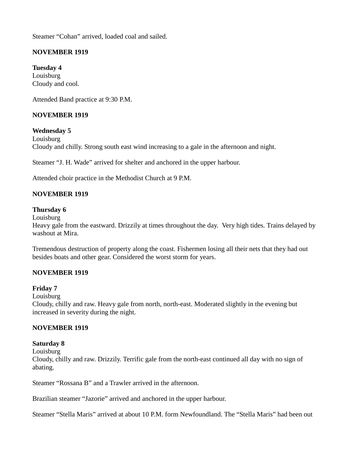Steamer "Cohan" arrived, loaded coal and sailed.

# **NOVEMBER 1919**

**Tuesday 4** Louisburg Cloudy and cool.

Attended Band practice at 9:30 P.M.

## **NOVEMBER 1919**

**Wednesday 5**

Louisburg Cloudy and chilly. Strong south east wind increasing to a gale in the afternoon and night.

Steamer "J. H. Wade" arrived for shelter and anchored in the upper harbour.

Attended choir practice in the Methodist Church at 9 P.M.

## **NOVEMBER 1919**

#### **Thursday 6**

Louisburg

Heavy gale from the eastward. Drizzily at times throughout the day. Very high tides. Trains delayed by washout at Mira.

Tremendous destruction of property along the coast. Fishermen losing all their nets that they had out besides boats and other gear. Considered the worst storm for years.

## **NOVEMBER 1919**

#### **Friday 7**

Louisburg

Cloudy, chilly and raw. Heavy gale from north, north-east. Moderated slightly in the evening but increased in severity during the night.

## **NOVEMBER 1919**

#### **Saturday 8**

Louisburg

Cloudy, chilly and raw. Drizzily. Terrific gale from the north-east continued all day with no sign of abating.

Steamer "Rossana B" and a Trawler arrived in the afternoon.

Brazilian steamer "Jazorie" arrived and anchored in the upper harbour.

Steamer "Stella Maris" arrived at about 10 P.M. form Newfoundland. The "Stella Maris" had been out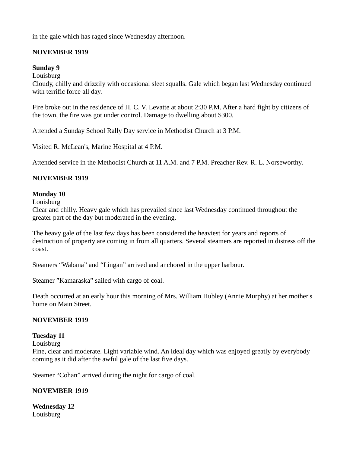in the gale which has raged since Wednesday afternoon.

# **NOVEMBER 1919**

## **Sunday 9**

Louisburg

Cloudy, chilly and drizzily with occasional sleet squalls. Gale which began last Wednesday continued with terrific force all day.

Fire broke out in the residence of H. C. V. Levatte at about 2:30 P.M. After a hard fight by citizens of the town, the fire was got under control. Damage to dwelling about \$300.

Attended a Sunday School Rally Day service in Methodist Church at 3 P.M.

Visited R. McLean's, Marine Hospital at 4 P.M.

Attended service in the Methodist Church at 11 A.M. and 7 P.M. Preacher Rev. R. L. Norseworthy.

## **NOVEMBER 1919**

## **Monday 10**

Louisburg

Clear and chilly. Heavy gale which has prevailed since last Wednesday continued throughout the greater part of the day but moderated in the evening.

The heavy gale of the last few days has been considered the heaviest for years and reports of destruction of property are coming in from all quarters. Several steamers are reported in distress off the coast.

Steamers "Wabana" and "Lingan" arrived and anchored in the upper harbour.

Steamer "Kamaraska" sailed with cargo of coal.

Death occurred at an early hour this morning of Mrs. William Hubley (Annie Murphy) at her mother's home on Main Street.

## **NOVEMBER 1919**

## **Tuesday 11**

Louisburg

Fine, clear and moderate. Light variable wind. An ideal day which was enjoyed greatly by everybody coming as it did after the awful gale of the last five days.

Steamer "Cohan" arrived during the night for cargo of coal.

## **NOVEMBER 1919**

**Wednesday 12** Louisburg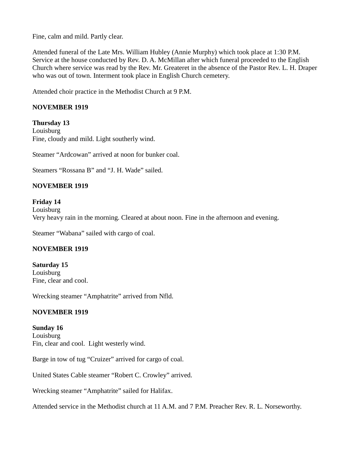Fine, calm and mild. Partly clear.

Attended funeral of the Late Mrs. William Hubley (Annie Murphy) which took place at 1:30 P.M. Service at the house conducted by Rev. D. A. McMillan after which funeral proceeded to the English Church where service was read by the Rev. Mr. Greateret in the absence of the Pastor Rev. L. H. Draper who was out of town. Interment took place in English Church cemetery.

Attended choir practice in the Methodist Church at 9 P.M.

## **NOVEMBER 1919**

**Thursday 13 Louisburg** Fine, cloudy and mild. Light southerly wind.

Steamer "Ardcowan" arrived at noon for bunker coal.

Steamers "Rossana B" and "J. H. Wade" sailed.

## **NOVEMBER 1919**

#### **Friday 14**

**Louisburg** Very heavy rain in the morning. Cleared at about noon. Fine in the afternoon and evening.

Steamer "Wabana" sailed with cargo of coal.

## **NOVEMBER 1919**

**Saturday 15** Louisburg Fine, clear and cool.

Wrecking steamer "Amphatrite" arrived from Nfld.

## **NOVEMBER 1919**

**Sunday 16** Louisburg Fin, clear and cool. Light westerly wind.

Barge in tow of tug "Cruizer" arrived for cargo of coal.

United States Cable steamer "Robert C. Crowley" arrived.

Wrecking steamer "Amphatrite" sailed for Halifax.

Attended service in the Methodist church at 11 A.M. and 7 P.M. Preacher Rev. R. L. Norseworthy.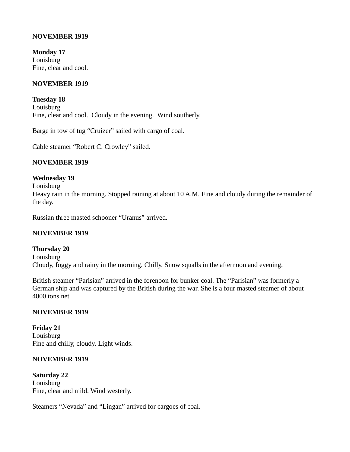#### **NOVEMBER 1919**

**Monday 17** Louisburg Fine, clear and cool.

#### **NOVEMBER 1919**

**Tuesday 18** Louisburg Fine, clear and cool. Cloudy in the evening. Wind southerly.

Barge in tow of tug "Cruizer" sailed with cargo of coal.

Cable steamer "Robert C. Crowley" sailed.

#### **NOVEMBER 1919**

#### **Wednesday 19**

Louisburg

Heavy rain in the morning. Stopped raining at about 10 A.M. Fine and cloudy during the remainder of the day.

Russian three masted schooner "Uranus" arrived.

#### **NOVEMBER 1919**

#### **Thursday 20**

Louisburg Cloudy, foggy and rainy in the morning. Chilly. Snow squalls in the afternoon and evening.

British steamer "Parisian" arrived in the forenoon for bunker coal. The "Parisian" was formerly a German ship and was captured by the British during the war. She is a four masted steamer of about 4000 tons net.

#### **NOVEMBER 1919**

**Friday 21** Louisburg Fine and chilly, cloudy. Light winds.

#### **NOVEMBER 1919**

**Saturday 22** Louisburg Fine, clear and mild. Wind westerly.

Steamers "Nevada" and "Lingan" arrived for cargoes of coal.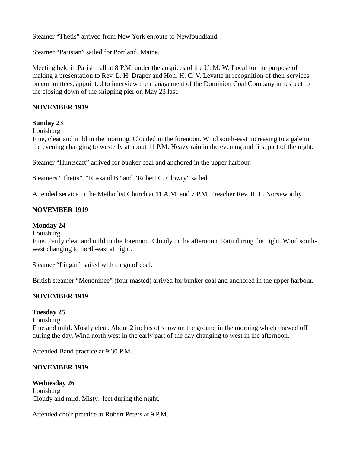Steamer "Thetis" arrived from New York enroute to Newfoundland.

Steamer "Parisian" sailed for Portland, Maine.

Meeting held in Parish hall at 8 P.M. under the auspices of the U. M. W. Local for the purpose of making a presentation to Rev. L. H. Draper and Hon. H. C. V. Levatte in recognition of their services on committees, appointed to interview the management of the Dominion Coal Company in respect to the closing down of the shipping pier on May 23 last.

#### **NOVEMBER 1919**

#### **Sunday 23**

**Louisburg** 

Fine, clear and mild in the morning. Clouded in the forenoon. Wind south-east increasing to a gale in the evening changing to westerly at about 11 P.M. Heavy rain in the evening and first part of the night.

Steamer "Huntscaft" arrived for bunker coal and anchored in the upper harbour.

Steamers "Thetis", "Rossand B" and "Robert C. Clowry" sailed.

Attended service in the Methodist Church at 11 A.M. and 7 P.M. Preacher Rev. R. L. Norseworthy.

#### **NOVEMBER 1919**

#### **Monday 24**

#### Louisburg

Fine. Partly clear and mild in the forenoon. Cloudy in the afternoon. Rain during the night. Wind southwest changing to north-east at night.

Steamer "Lingan" sailed with cargo of coal.

British steamer "Menoninee" (four masted) arrived for bunker coal and anchored in the upper harbour.

## **NOVEMBER 1919**

## **Tuesday 25**

Louisburg

Fine and mild. Mostly clear. About 2 inches of snow on the ground in the morning which thawed off during the day. Wind north west in the early part of the day changing to west in the afternoon.

Attended Band practice at 9:30 P.M.

## **NOVEMBER 1919**

**Wednesday 26** Louisburg Cloudy and mild. Misty. leet during the night.

Attended choir practice at Robert Peters at 9 P.M.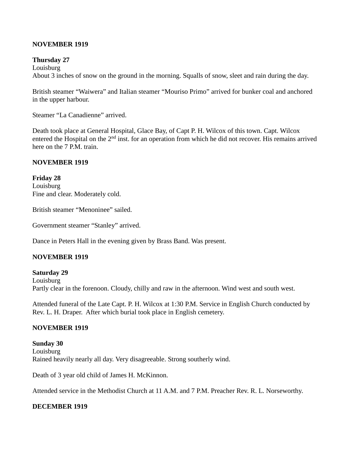#### **NOVEMBER 1919**

#### **Thursday 27**

**Louisburg** About 3 inches of snow on the ground in the morning. Squalls of snow, sleet and rain during the day.

British steamer "Waiwera" and Italian steamer "Mouriso Primo" arrived for bunker coal and anchored in the upper harbour.

Steamer "La Canadienne" arrived.

Death took place at General Hospital, Glace Bay, of Capt P. H. Wilcox of this town. Capt. Wilcox entered the Hospital on the 2<sup>nd</sup> inst. for an operation from which he did not recover. His remains arrived here on the 7 P.M. train.

#### **NOVEMBER 1919**

**Friday 28** Louisburg Fine and clear. Moderately cold.

British steamer "Menoninee" sailed.

Government steamer "Stanley" arrived.

Dance in Peters Hall in the evening given by Brass Band. Was present.

#### **NOVEMBER 1919**

**Saturday 29** Louisburg Partly clear in the forenoon. Cloudy, chilly and raw in the afternoon. Wind west and south west.

Attended funeral of the Late Capt. P. H. Wilcox at 1:30 P.M. Service in English Church conducted by Rev. L. H. Draper. After which burial took place in English cemetery.

#### **NOVEMBER 1919**

**Sunday 30** Louisburg Rained heavily nearly all day. Very disagreeable. Strong southerly wind.

Death of 3 year old child of James H. McKinnon.

Attended service in the Methodist Church at 11 A.M. and 7 P.M. Preacher Rev. R. L. Norseworthy.

#### **DECEMBER 1919**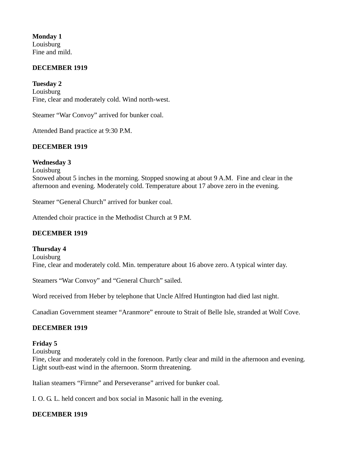**Monday 1** Louisburg Fine and mild.

#### **DECEMBER 1919**

**Tuesday 2 Louisburg** Fine, clear and moderately cold. Wind north-west.

Steamer "War Convoy" arrived for bunker coal.

Attended Band practice at 9:30 P.M.

#### **DECEMBER 1919**

#### **Wednesday 3**

**Louisburg** 

Snowed about 5 inches in the morning. Stopped snowing at about 9 A.M. Fine and clear in the afternoon and evening. Moderately cold. Temperature about 17 above zero in the evening.

Steamer "General Church" arrived for bunker coal.

Attended choir practice in the Methodist Church at 9 P.M.

#### **DECEMBER 1919**

#### **Thursday 4** Louisburg Fine, clear and moderately cold. Min. temperature about 16 above zero. A typical winter day.

Steamers "War Convoy" and "General Church" sailed.

Word received from Heber by telephone that Uncle Alfred Huntington had died last night.

Canadian Government steamer "Aranmore" enroute to Strait of Belle Isle, stranded at Wolf Cove.

#### **DECEMBER 1919**

#### **Friday 5**

Louisburg

Fine, clear and moderately cold in the forenoon. Partly clear and mild in the afternoon and evening. Light south-east wind in the afternoon. Storm threatening.

Italian steamers "Firnne" and Perseveranse" arrived for bunker coal.

I. O. G. L. held concert and box social in Masonic hall in the evening.

## **DECEMBER 1919**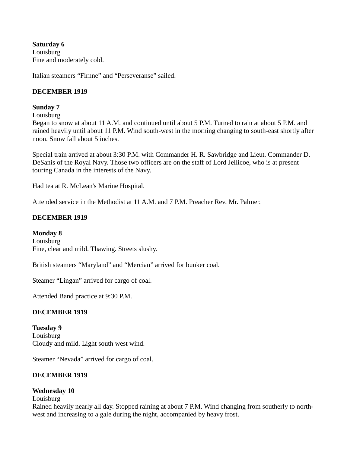**Saturday 6 Louisburg** Fine and moderately cold.

Italian steamers "Firnne" and "Perseveranse" sailed.

#### **DECEMBER 1919**

#### **Sunday 7**

Louisburg

Began to snow at about 11 A.M. and continued until about 5 P.M. Turned to rain at about 5 P.M. and rained heavily until about 11 P.M. Wind south-west in the morning changing to south-east shortly after noon. Snow fall about 5 inches.

Special train arrived at about 3:30 P.M. with Commander H. R. Sawbridge and Lieut. Commander D. DeSanis of the Royal Navy. Those two officers are on the staff of Lord Jellicoe, who is at present touring Canada in the interests of the Navy.

Had tea at R. McLean's Marine Hospital.

Attended service in the Methodist at 11 A.M. and 7 P.M. Preacher Rev. Mr. Palmer.

#### **DECEMBER 1919**

#### **Monday 8**

Louisburg Fine, clear and mild. Thawing. Streets slushy.

British steamers "Maryland" and "Mercian" arrived for bunker coal.

Steamer "Lingan" arrived for cargo of coal.

Attended Band practice at 9:30 P.M.

## **DECEMBER 1919**

**Tuesday 9** Louisburg Cloudy and mild. Light south west wind.

Steamer "Nevada" arrived for cargo of coal.

## **DECEMBER 1919**

## **Wednesday 10**

**Louisburg** 

Rained heavily nearly all day. Stopped raining at about 7 P.M. Wind changing from southerly to northwest and increasing to a gale during the night, accompanied by heavy frost.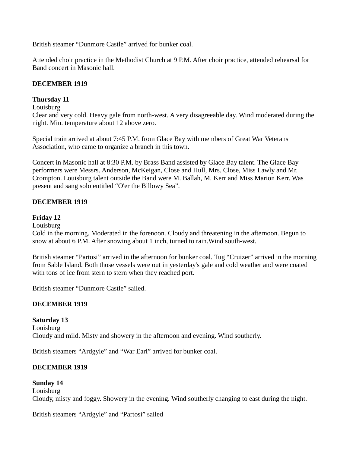British steamer "Dunmore Castle" arrived for bunker coal.

Attended choir practice in the Methodist Church at 9 P.M. After choir practice, attended rehearsal for Band concert in Masonic hall.

#### **DECEMBER 1919**

#### **Thursday 11**

## Louisburg

Clear and very cold. Heavy gale from north-west. A very disagreeable day. Wind moderated during the night. Min. temperature about 12 above zero.

Special train arrived at about 7:45 P.M. from Glace Bay with members of Great War Veterans Association, who came to organize a branch in this town.

Concert in Masonic hall at 8:30 P.M. by Brass Band assisted by Glace Bay talent. The Glace Bay performers were Messrs. Anderson, McKeigan, Close and Hull, Mrs. Close, Miss Lawly and Mr. Crompton. Louisburg talent outside the Band were M. Ballah, M. Kerr and Miss Marion Kerr. Was present and sang solo entitled "O'er the Billowy Sea".

#### **DECEMBER 1919**

#### **Friday 12**

Louisburg

Cold in the morning. Moderated in the forenoon. Cloudy and threatening in the afternoon. Begun to snow at about 6 P.M. After snowing about 1 inch, turned to rain.Wind south-west.

British steamer "Partosi" arrived in the afternoon for bunker coal. Tug "Cruizer" arrived in the morning from Sable Island. Both those vessels were out in yesterday's gale and cold weather and were coated with tons of ice from stern to stern when they reached port.

British steamer "Dunmore Castle" sailed.

## **DECEMBER 1919**

**Saturday 13 Louisburg** Cloudy and mild. Misty and showery in the afternoon and evening. Wind southerly.

British steamers "Ardgyle" and "War Earl" arrived for bunker coal.

## **DECEMBER 1919**

## **Sunday 14** Louisburg Cloudy, misty and foggy. Showery in the evening. Wind southerly changing to east during the night.

British steamers "Ardgyle" and "Partosi" sailed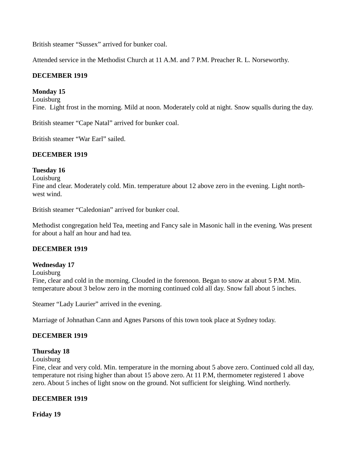British steamer "Sussex" arrived for bunker coal.

Attended service in the Methodist Church at 11 A.M. and 7 P.M. Preacher R. L. Norseworthy.

#### **DECEMBER 1919**

#### **Monday 15**

Louisburg Fine. Light frost in the morning. Mild at noon. Moderately cold at night. Snow squalls during the day.

British steamer "Cape Natal" arrived for bunker coal.

British steamer "War Earl" sailed.

#### **DECEMBER 1919**

#### **Tuesday 16**

Louisburg

Fine and clear. Moderately cold. Min. temperature about 12 above zero in the evening. Light northwest wind.

British steamer "Caledonian" arrived for bunker coal.

Methodist congregation held Tea, meeting and Fancy sale in Masonic hall in the evening. Was present for about a half an hour and had tea.

#### **DECEMBER 1919**

#### **Wednesday 17**

Louisburg

Fine, clear and cold in the morning. Clouded in the forenoon. Began to snow at about 5 P.M. Min. temperature about 3 below zero in the morning continued cold all day. Snow fall about 5 inches.

Steamer "Lady Laurier" arrived in the evening.

Marriage of Johnathan Cann and Agnes Parsons of this town took place at Sydney today.

## **DECEMBER 1919**

#### **Thursday 18**

#### Louisburg

Fine, clear and very cold. Min. temperature in the morning about 5 above zero. Continued cold all day, temperature not rising higher than about 15 above zero. At 11 P.M, thermometer registered 1 above zero. About 5 inches of light snow on the ground. Not sufficient for sleighing. Wind northerly.

#### **DECEMBER 1919**

**Friday 19**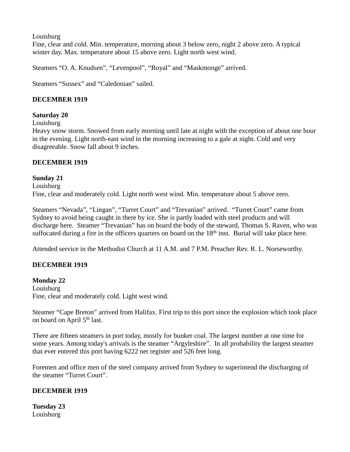**Louisburg** 

Fine, clear and cold. Min. temperature, morning about 3 below zero, night 2 above zero. A typical winter day. Max. temperature about 15 above zero. Light north west wind.

Steamers "O. A. Knudsen", "Levenpool", "Royal" and "Maskmonge" arrived.

Steamers "Sussex" and "Caledonian" sailed.

# **DECEMBER 1919**

# **Saturday 20**

Louisburg

Heavy snow storm. Snowed from early morning until late at night with the exception of about one hour in the evening. Light north-east wind in the morning increasing to a gale at night. Cold and very disagreeable. Snow fall about 9 inches.

# **DECEMBER 1919**

# **Sunday 21**

**Louisburg** Fine, clear and moderately cold. Light north west wind. Min. temperature about 5 above zero.

Steamers "Nevada", "Lingan", "Turret Court" and "Trevanian" arrived. "Turret Court" came from Sydney to avoid being caught in there by ice. She is partly loaded with steel products and will discharge here. Steamer "Trevanian" has on board the body of the steward, Thomas S. Raven, who was suffocated during a fire in the officers quarters on board on the  $18<sup>th</sup>$  inst. Burial will take place here.

Attended service in the Methodist Church at 11 A.M. and 7 P.M. Preacher Rev. R. L. Norseworthy.

# **DECEMBER 1919**

# **Monday 22**

Louisburg Fine, clear and moderately cold. Light west wind.

Steamer "Cape Breton" arrived from Halifax. First trip to this port since the explosion which took place on board on April 5th last.

There are fifteen steamers in port today, mostly for bunker coal. The largest number at one time for some years. Among today's arrivals is the steamer "Argyleshire". In all probability the largest steamer that ever entered this port having 6222 net register and 526 feet long.

Foremen and office men of the steel company arrived from Sydney to superintend the discharging of the steamer "Turret Court".

# **DECEMBER 1919**

**Tuesday 23** Louisburg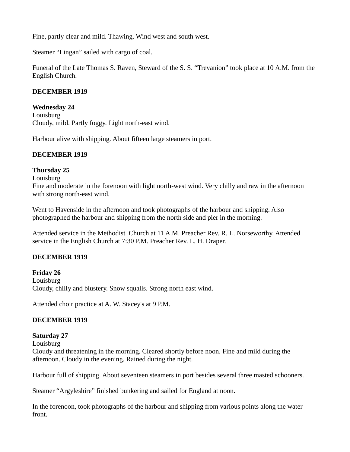Fine, partly clear and mild. Thawing. Wind west and south west.

Steamer "Lingan" sailed with cargo of coal.

Funeral of the Late Thomas S. Raven, Steward of the S. S. "Trevanion" took place at 10 A.M. from the English Church.

#### **DECEMBER 1919**

#### **Wednesday 24**

Louisburg Cloudy, mild. Partly foggy. Light north-east wind.

Harbour alive with shipping. About fifteen large steamers in port.

#### **DECEMBER 1919**

# **Thursday 25**

Louisburg

Fine and moderate in the forenoon with light north-west wind. Very chilly and raw in the afternoon with strong north-east wind.

Went to Havenside in the afternoon and took photographs of the harbour and shipping. Also photographed the harbour and shipping from the north side and pier in the morning.

Attended service in the Methodist Church at 11 A.M. Preacher Rev. R. L. Norseworthy. Attended service in the English Church at 7:30 P.M. Preacher Rev. L. H. Draper.

# **DECEMBER 1919**

**Friday 26** Louisburg Cloudy, chilly and blustery. Snow squalls. Strong north east wind.

Attended choir practice at A. W. Stacey's at 9 P.M.

# **DECEMBER 1919**

# **Saturday 27**

Louisburg

Cloudy and threatening in the morning. Cleared shortly before noon. Fine and mild during the afternoon. Cloudy in the evening. Rained during the night.

Harbour full of shipping. About seventeen steamers in port besides several three masted schooners.

Steamer "Argyleshire" finished bunkering and sailed for England at noon.

In the forenoon, took photographs of the harbour and shipping from various points along the water front.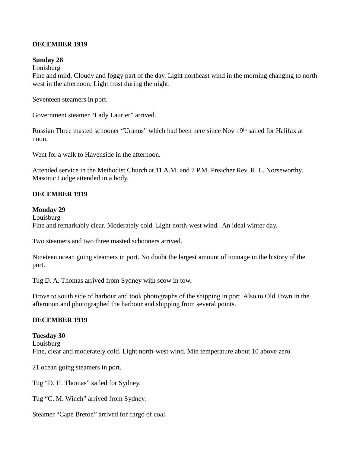#### **DECEMBER 1919**

#### **Sunday 28**

#### **Louisburg**

Fine and mild. Cloudy and foggy part of the day. Light northeast wind in the morning changing to north west in the afternoon. Light frost during the night.

Seventeen steamers in port.

Government steamer "Lady Laurier" arrived.

Russian Three masted schooner "Uranus" which had been here since Nov 19<sup>th</sup> sailed for Halifax at noon.

Went for a walk to Havenside in the afternoon.

Attended service in the Methodist Church at 11 A.M. and 7 P.M. Preacher Rev. R. L. Norseworthy. Masonic Lodge attended in a body.

# **DECEMBER 1919**

#### **Monday 29**

Louisburg Fine and remarkably clear. Moderately cold. Light north-west wind. An ideal winter day.

Two steamers and two three masted schooners arrived.

Nineteen ocean going steamers in port. No doubt the largest amount of tonnage in the history of the port.

Tug D. A. Thomas arrived from Sydney with scow in tow.

Drove to south side of harbour and took photographs of the shipping in port. Also to Old Town in the afternoon and photographed the harbour and shipping from several points.

# **DECEMBER 1919**

#### **Tuesday 30**

Louisburg Fine, clear and moderately cold. Light north-west wind. Min temperature about 10 above zero.

21 ocean going steamers in port.

Tug "D. H. Thomas" sailed for Sydney.

Tug "C. M. Winch" arrived from Sydney.

Steamer "Cape Breton" arrived for cargo of coal.